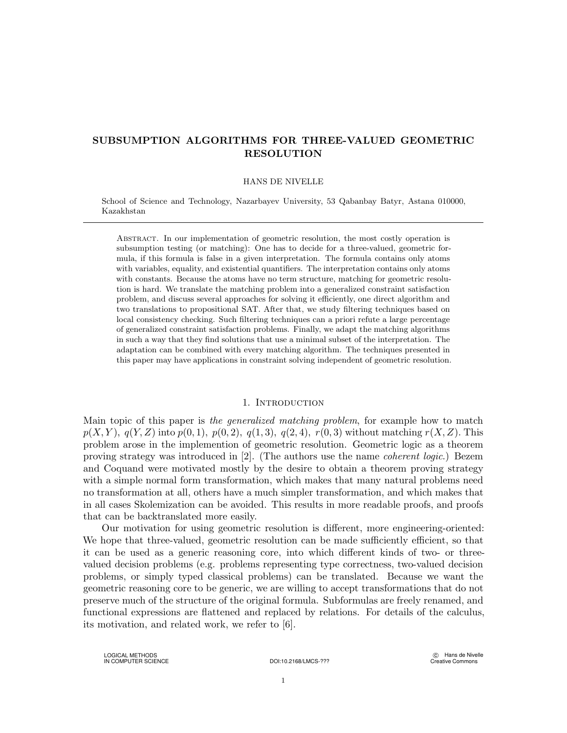# SUBSUMPTION ALGORITHMS FOR THREE-VALUED GEOMETRIC RESOLUTION

### HANS DE NIVELLE

School of Science and Technology, Nazarbayev University, 53 Qabanbay Batyr, Astana 010000, Kazakhstan

Abstract. In our implementation of geometric resolution, the most costly operation is subsumption testing (or matching): One has to decide for a three-valued, geometric formula, if this formula is false in a given interpretation. The formula contains only atoms with variables, equality, and existential quantifiers. The interpretation contains only atoms with constants. Because the atoms have no term structure, matching for geometric resolution is hard. We translate the matching problem into a generalized constraint satisfaction problem, and discuss several approaches for solving it efficiently, one direct algorithm and two translations to propositional SAT. After that, we study filtering techniques based on local consistency checking. Such filtering techniques can a priori refute a large percentage of generalized constraint satisfaction problems. Finally, we adapt the matching algorithms in such a way that they find solutions that use a minimal subset of the interpretation. The adaptation can be combined with every matching algorithm. The techniques presented in this paper may have applications in constraint solving independent of geometric resolution.

### 1. Introduction

Main topic of this paper is the generalized matching problem, for example how to match  $p(X, Y)$ ,  $q(Y, Z)$  into  $p(0, 1)$ ,  $p(0, 2)$ ,  $q(1, 3)$ ,  $q(2, 4)$ ,  $r(0, 3)$  without matching  $r(X, Z)$ . This problem arose in the implemention of geometric resolution. Geometric logic as a theorem proving strategy was introduced in [2]. (The authors use the name coherent logic.) Bezem and Coquand were motivated mostly by the desire to obtain a theorem proving strategy with a simple normal form transformation, which makes that many natural problems need no transformation at all, others have a much simpler transformation, and which makes that in all cases Skolemization can be avoided. This results in more readable proofs, and proofs that can be backtranslated more easily.

Our motivation for using geometric resolution is different, more engineering-oriented: We hope that three-valued, geometric resolution can be made sufficiently efficient, so that it can be used as a generic reasoning core, into which different kinds of two- or threevalued decision problems (e.g. problems representing type correctness, two-valued decision problems, or simply typed classical problems) can be translated. Because we want the geometric reasoning core to be generic, we are willing to accept transformations that do not preserve much of the structure of the original formula. Subformulas are freely renamed, and functional expressions are flattened and replaced by relations. For details of the calculus, its motivation, and related work, we refer to [6].

LOGICAL METHODS IN COMPUTER SCIENCE DOI:10.2168/LMCS-???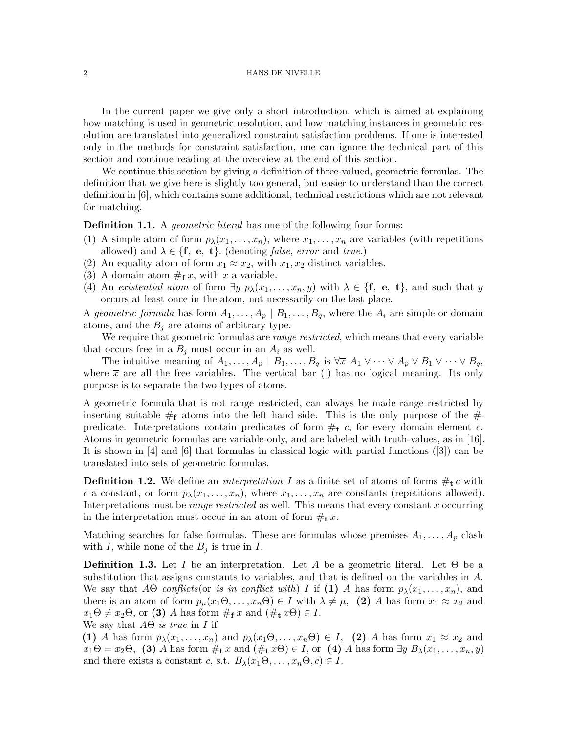In the current paper we give only a short introduction, which is aimed at explaining how matching is used in geometric resolution, and how matching instances in geometric resolution are translated into generalized constraint satisfaction problems. If one is interested only in the methods for constraint satisfaction, one can ignore the technical part of this section and continue reading at the overview at the end of this section.

We continue this section by giving a definition of three-valued, geometric formulas. The definition that we give here is slightly too general, but easier to understand than the correct definition in [6], which contains some additional, technical restrictions which are not relevant for matching.

**Definition 1.1.** A *geometric literal* has one of the following four forms:

- (1) A simple atom of form  $p_{\lambda}(x_1,\ldots,x_n)$ , where  $x_1,\ldots,x_n$  are variables (with repetitions allowed) and  $\lambda \in \{\mathbf{f}, \mathbf{e}, \mathbf{t}\}\)$ . (denoting *false, error* and *true.*)
- (2) An equality atom of form  $x_1 \approx x_2$ , with  $x_1, x_2$  distinct variables.
- (3) A domain atom  $#$ **f** x, with x a variable.
- (4) An existential atom of form  $\exists y \ p_{\lambda}(x_1,\ldots,x_n,y)$  with  $\lambda \in \{\mathbf{f}, \mathbf{e}, \mathbf{t}\},$  and such that y occurs at least once in the atom, not necessarily on the last place.

A geometric formula has form  $A_1, \ldots, A_p \mid B_1, \ldots, B_q$ , where the  $A_i$  are simple or domain atoms, and the  $B_i$  are atoms of arbitrary type.

We require that geometric formulas are *range restricted*, which means that every variable that occurs free in a  $B_j$  must occur in an  $A_i$  as well.

The intuitive meaning of  $A_1, \ldots, A_p \mid B_1, \ldots, B_q$  is  $\forall \overline{x} \ A_1 \lor \cdots \lor A_p \lor B_1 \lor \cdots \lor B_q$ , where  $\bar{x}$  are all the free variables. The vertical bar () has no logical meaning. Its only purpose is to separate the two types of atoms.

A geometric formula that is not range restricted, can always be made range restricted by inserting suitable  $\#$ <sub>f</sub> atoms into the left hand side. This is the only purpose of the  $\#$ predicate. Interpretations contain predicates of form  $\#_t$  c, for every domain element c. Atoms in geometric formulas are variable-only, and are labeled with truth-values, as in [16]. It is shown in [4] and [6] that formulas in classical logic with partial functions ([3]) can be translated into sets of geometric formulas.

**Definition 1.2.** We define an *interpretation I* as a finite set of atoms of forms  $\#_t c$  with c a constant, or form  $p_{\lambda}(x_1,\ldots,x_n)$ , where  $x_1,\ldots,x_n$  are constants (repetitions allowed). Interpretations must be *range restricted* as well. This means that every constant  $x$  occurring in the interpretation must occur in an atom of form  $\#_{\mathbf{t}} x$ .

Matching searches for false formulas. These are formulas whose premises  $A_1, \ldots, A_p$  clash with I, while none of the  $B_j$  is true in I.

**Definition 1.3.** Let I be an interpretation. Let A be a geometric literal. Let  $\Theta$  be a substitution that assigns constants to variables, and that is defined on the variables in A. We say that  $A\Theta$  conflicts (or is in conflict with) I if (1) A has form  $p_{\lambda}(x_1, \ldots, x_n)$ , and there is an atom of form  $p_\mu(x_1\Theta,\ldots,x_n\Theta) \in I$  with  $\lambda \neq \mu$ , (2) A has form  $x_1 \approx x_2$  and  $x_1\Theta \neq x_2\Theta$ , or (3) A has form  $\#_{\mathbf{f}} x$  and  $(\#_{\mathbf{t}} x\Theta) \in I$ .

We say that  $A\Theta$  is true in I if

(1) A has form  $p_{\lambda}(x_1,\ldots,x_n)$  and  $p_{\lambda}(x_1\Theta,\ldots,x_n\Theta) \in I$ , (2) A has form  $x_1 \approx x_2$  and  $x_1\Theta = x_2\Theta$ , (3) A has form  $\#_{\mathbf{t}} x$  and  $(\#_{\mathbf{t}} x\Theta) \in I$ , or (4) A has form  $\exists y \ B_\lambda(x_1,\ldots,x_n,y)$ and there exists a constant c, s.t.  $B_{\lambda}(x_1\Theta,\ldots,x_n\Theta,c) \in I$ .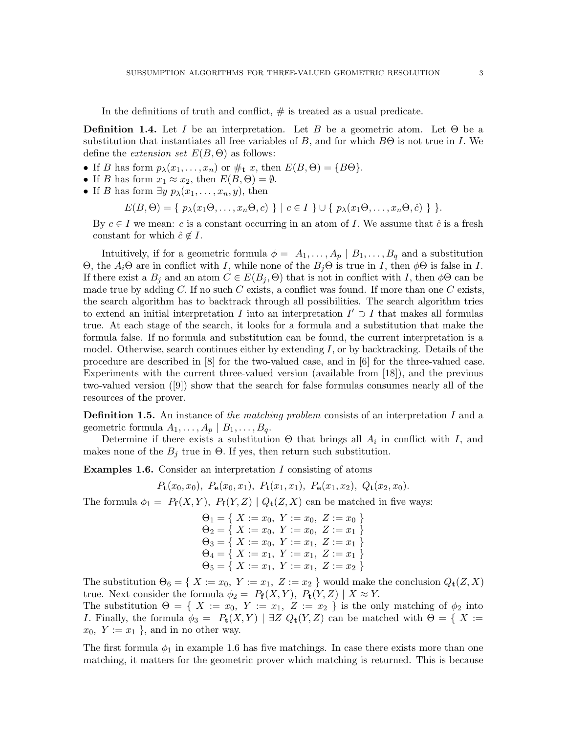In the definitions of truth and conflict,  $#$  is treated as a usual predicate.

**Definition 1.4.** Let I be an interpretation. Let B be a geometric atom. Let  $\Theta$  be a substitution that instantiates all free variables of B, and for which  $B\Theta$  is not true in I. We define the *extension set*  $E(B, \Theta)$  as follows:

- If B has form  $p_{\lambda}(x_1,\ldots,x_n)$  or  $\#$ <sub>t</sub> x, then  $E(B,\Theta) = \{B\Theta\}.$
- If B has form  $x_1 \approx x_2$ , then  $E(B, \Theta) = \emptyset$ .
- If B has form  $\exists y \ p_{\lambda}(x_1, \ldots, x_n, y)$ , then

$$
E(B, \Theta) = \{ p_{\lambda}(x_1\Theta, \ldots, x_n\Theta, c) \} | c \in I \} \cup \{ p_{\lambda}(x_1\Theta, \ldots, x_n\Theta, \hat{c}) \}.
$$

By  $c \in I$  we mean: c is a constant occurring in an atom of I. We assume that  $\hat{c}$  is a fresh constant for which  $\hat{c} \notin I$ .

Intuitively, if for a geometric formula  $\phi = A_1, \ldots, A_p \mid B_1, \ldots, B_q$  and a substitution Θ, the  $A_i$ Θ are in conflict with I, while none of the  $B_j$ Θ is true in I, then  $\phi$ Θ is false in I. If there exist a  $B_j$  and an atom  $C \in E(B_j, \Theta)$  that is not in conflict with I, then  $\phi\Theta$  can be made true by adding  $C$ . If no such  $C$  exists, a conflict was found. If more than one  $C$  exists, the search algorithm has to backtrack through all possibilities. The search algorithm tries to extend an initial interpretation I into an interpretation  $I' \supset I$  that makes all formulas true. At each stage of the search, it looks for a formula and a substitution that make the formula false. If no formula and substitution can be found, the current interpretation is a model. Otherwise, search continues either by extending  $I$ , or by backtracking. Details of the procedure are described in [8] for the two-valued case, and in [6] for the three-valued case. Experiments with the current three-valued version (available from [18]), and the previous two-valued version ([9]) show that the search for false formulas consumes nearly all of the resources of the prover.

**Definition 1.5.** An instance of the matching problem consists of an interpretation I and a geometric formula  $A_1, \ldots, A_p \mid B_1, \ldots, B_q$ .

Determine if there exists a substitution  $\Theta$  that brings all  $A_i$  in conflict with I, and makes none of the  $B_j$  true in  $\Theta$ . If yes, then return such substitution.

Examples 1.6. Consider an interpretation I consisting of atoms

$$
P_{\mathbf{t}}(x_0,x_0), P_{\mathbf{e}}(x_0,x_1), P_{\mathbf{t}}(x_1,x_1), P_{\mathbf{e}}(x_1,x_2), Q_{\mathbf{t}}(x_2,x_0).
$$

The formula  $\phi_1 = P_f(X, Y)$ ,  $P_f(Y, Z) | Q_t(Z, X)$  can be matched in five ways:

| $\Theta_1 = \{ X := x_0, Y := x_0, Z := x_0 \}$ |  |
|-------------------------------------------------|--|
| $\Theta_2 = \{ X := x_0, Y := x_0, Z := x_1 \}$ |  |
| $\Theta_3 = \{ X := x_0, Y := x_1, Z := x_1 \}$ |  |
| $\Theta_4 = \{ X := x_1, Y := x_1, Z := x_1 \}$ |  |
| $\Theta_5 = \{ X := x_1, Y := x_1, Z := x_2 \}$ |  |

The substitution  $\Theta_6 = \{ X := x_0, Y := x_1, Z := x_2 \}$  would make the conclusion  $Q_t(Z, X)$ true. Next consider the formula  $\phi_2 = P_f(X, Y), P_t(Y, Z) | X \approx Y$ .

The substitution  $\Theta = \{ X := x_0, Y := x_1, Z := x_2 \}$  is the only matching of  $\phi_2$  into I. Finally, the formula  $\phi_3 = P_t(X, Y)$  |  $\exists Z Q_t(Y, Z)$  can be matched with  $\Theta = \{ X :=$  $x_0, Y := x_1$ , and in no other way.

The first formula  $\phi_1$  in example 1.6 has five matchings. In case there exists more than one matching, it matters for the geometric prover which matching is returned. This is because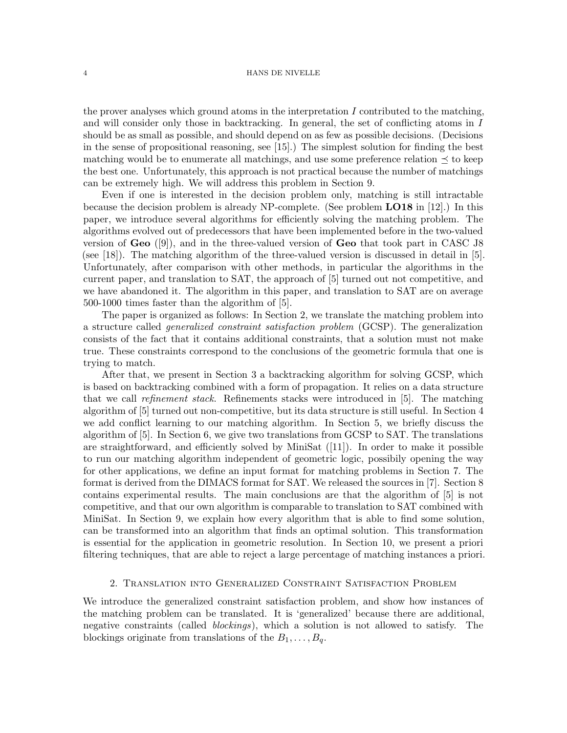the prover analyses which ground atoms in the interpretation  $I$  contributed to the matching, and will consider only those in backtracking. In general, the set of conflicting atoms in I should be as small as possible, and should depend on as few as possible decisions. (Decisions in the sense of propositional reasoning, see [15].) The simplest solution for finding the best matching would be to enumerate all matchings, and use some preference relation  $\preceq$  to keep the best one. Unfortunately, this approach is not practical because the number of matchings can be extremely high. We will address this problem in Section 9.

Even if one is interested in the decision problem only, matching is still intractable because the decision problem is already NP-complete. (See problem LO18 in [12].) In this paper, we introduce several algorithms for efficiently solving the matching problem. The algorithms evolved out of predecessors that have been implemented before in the two-valued version of  $\mathbf{Geo}$  ([9]), and in the three-valued version of  $\mathbf{Geo}$  that took part in CASC J8 (see [18]). The matching algorithm of the three-valued version is discussed in detail in [5]. Unfortunately, after comparison with other methods, in particular the algorithms in the current paper, and translation to SAT, the approach of [5] turned out not competitive, and we have abandoned it. The algorithm in this paper, and translation to SAT are on average 500-1000 times faster than the algorithm of [5].

The paper is organized as follows: In Section 2, we translate the matching problem into a structure called generalized constraint satisfaction problem (GCSP). The generalization consists of the fact that it contains additional constraints, that a solution must not make true. These constraints correspond to the conclusions of the geometric formula that one is trying to match.

After that, we present in Section 3 a backtracking algorithm for solving GCSP, which is based on backtracking combined with a form of propagation. It relies on a data structure that we call refinement stack. Refinements stacks were introduced in [5]. The matching algorithm of [5] turned out non-competitive, but its data structure is still useful. In Section 4 we add conflict learning to our matching algorithm. In Section 5, we briefly discuss the algorithm of [5]. In Section 6, we give two translations from GCSP to SAT. The translations are straightforward, and efficiently solved by MiniSat ([11]). In order to make it possible to run our matching algorithm independent of geometric logic, possibily opening the way for other applications, we define an input format for matching problems in Section 7. The format is derived from the DIMACS format for SAT. We released the sources in [7]. Section 8 contains experimental results. The main conclusions are that the algorithm of [5] is not competitive, and that our own algorithm is comparable to translation to SAT combined with MiniSat. In Section 9, we explain how every algorithm that is able to find some solution, can be transformed into an algorithm that finds an optimal solution. This transformation is essential for the application in geometric resolution. In Section 10, we present a priori filtering techniques, that are able to reject a large percentage of matching instances a priori.

### 2. Translation into Generalized Constraint Satisfaction Problem

We introduce the generalized constraint satisfaction problem, and show how instances of the matching problem can be translated. It is 'generalized' because there are additional, negative constraints (called *blockings*), which a solution is not allowed to satisfy. The blockings originate from translations of the  $B_1, \ldots, B_q$ .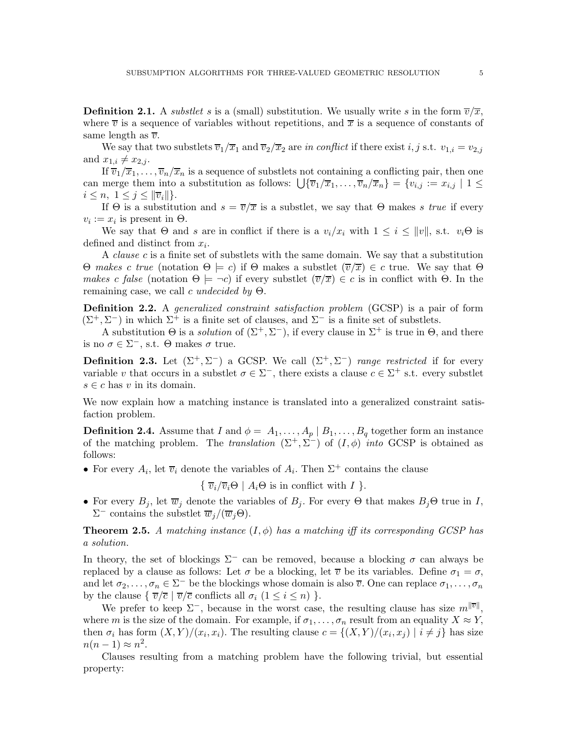**Definition 2.1.** A substlet s is a (small) substitution. We usually write s in the form  $\overline{v}/\overline{x}$ , where  $\overline{v}$  is a sequence of variables without repetitions, and  $\overline{x}$  is a sequence of constants of same length as  $\overline{v}$ .

We say that two substlets  $\overline{v}_1/\overline{x}_1$  and  $\overline{v}_2/\overline{x}_2$  are in conflict if there exist i, j s.t.  $v_{1,i} = v_{2,j}$ and  $x_{1,i} \neq x_{2,i}$ .

If  $\overline{v}_1/\overline{x}_1,\ldots,\overline{v}_n/\overline{x}_n$  is a sequence of substlets not containing a conflicting pair, then one can merge them into a substitution as follows:  $\bigcup {\overline{v_1}}/{\overline{x_1}}, \ldots, {\overline{v_n}}/{\overline{x_n}} \big] = \{v_{i,j} := x_{i,j} \mid 1 \leq j \leq n\}$  $i \leq n, \ 1 \leq j \leq ||\overline{v}_i||.$ 

If Θ is a substitution and  $s = \overline{v}/\overline{x}$  is a substlet, we say that Θ makes s true if every  $v_i := x_i$  is present in  $\Theta$ .

We say that  $\Theta$  and s are in conflict if there is a  $v_i/x_i$  with  $1 \leq i \leq ||v||$ , s.t.  $v_i\Theta$  is defined and distinct from  $x_i$ .

A clause c is a finite set of substlets with the same domain. We say that a substitution Θ makes c true (notation Θ  $\models$  c) if Θ makes a substlet  $(\overline{v}/\overline{x}) \in c$  true. We say that Θ makes c false (notation  $\Theta \models \neg c$ ) if every substlet  $(\overline{v}/\overline{x}) \in c$  is in conflict with  $\Theta$ . In the remaining case, we call c undecided by  $\Theta$ .

Definition 2.2. A generalized constraint satisfaction problem (GCSP) is a pair of form  $(\Sigma^+, \Sigma^-)$  in which  $\Sigma^+$  is a finite set of clauses, and  $\Sigma^-$  is a finite set of substlets.

A substitution  $\Theta$  is a *solution* of  $(\Sigma^+, \Sigma^-)$ , if every clause in  $\Sigma^+$  is true in  $\Theta$ , and there is no  $\sigma \in \Sigma^-$ , s.t.  $\Theta$  makes  $\sigma$  true.

**Definition 2.3.** Let  $(\Sigma^+, \Sigma^-)$  a GCSP. We call  $(\Sigma^+, \Sigma^-)$  range restricted if for every variable v that occurs in a substlet  $\sigma \in \Sigma^-$ , there exists a clause  $c \in \Sigma^+$  s.t. every substlet  $s \in c$  has v in its domain.

We now explain how a matching instance is translated into a generalized constraint satisfaction problem.

**Definition 2.4.** Assume that I and  $\phi = A_1, \ldots, A_p | B_1, \ldots, B_q$  together form an instance of the matching problem. The translation  $(\Sigma^+, \Sigma^-)$  of  $(I, \phi)$  into GCSP is obtained as follows:

• For every  $A_i$ , let  $\overline{v}_i$  denote the variables of  $A_i$ . Then  $\Sigma^+$  contains the clause

 $\{\overline{v}_i/\overline{v}_i\Theta \mid A_i\Theta \text{ is in conflict with } I\}.$ 

• For every  $B_i$ , let  $\overline{w}_i$  denote the variables of  $B_i$ . For every  $\Theta$  that makes  $B_i\Theta$  true in I,  $\Sigma^-$  contains the substlet  $\overline{w}_j/(\overline{w}_j\Theta)$ .

**Theorem 2.5.** A matching instance  $(I, \phi)$  has a matching iff its corresponding GCSP has a solution.

In theory, the set of blockings  $\Sigma^-$  can be removed, because a blocking  $\sigma$  can always be replaced by a clause as follows: Let  $\sigma$  be a blocking, let  $\overline{\nu}$  be its variables. Define  $\sigma_1 = \sigma$ , and let  $\sigma_2, \ldots, \sigma_n \in \Sigma^-$  be the blockings whose domain is also  $\overline{v}$ . One can replace  $\sigma_1, \ldots, \sigma_n$ by the clause  $\{\overline{v}/\overline{c} \mid \overline{v}/\overline{c} \text{ conflicts all } \sigma_i \ (1 \leq i \leq n)\}.$ 

We prefer to keep  $\Sigma^-$ , because in the worst case, the resulting clause has size  $m^{\Vert \overline{v} \Vert}$ , where m is the size of the domain. For example, if  $\sigma_1, \ldots, \sigma_n$  result from an equality  $X \approx Y$ , then  $\sigma_i$  has form  $(X, Y)/(x_i, x_i)$ . The resulting clause  $c = \{(X, Y)/(x_i, x_j) \mid i \neq j\}$  has size  $n(n-1) \approx n^2$ .

Clauses resulting from a matching problem have the following trivial, but essential property: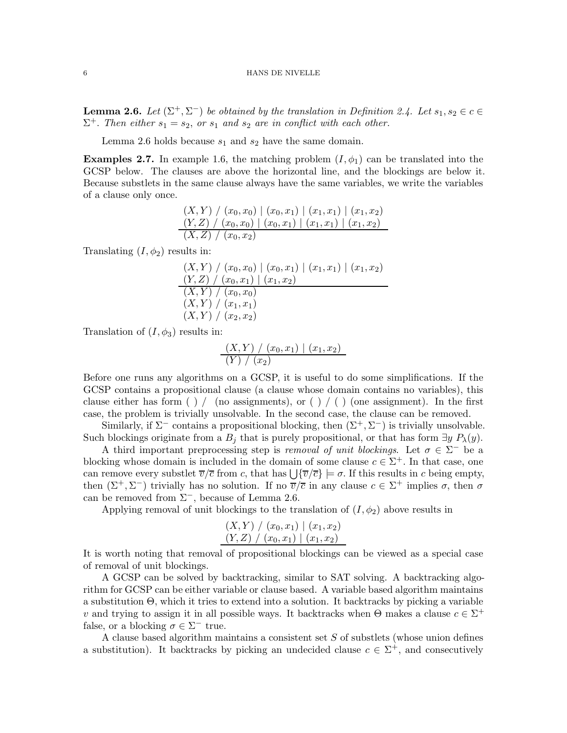**Lemma 2.6.** Let  $(\Sigma^+, \Sigma^-)$  be obtained by the translation in Definition 2.4. Let  $s_1, s_2 \in c \in \mathbb{R}$  $\Sigma^+$ . Then either  $s_1 = s_2$ , or  $s_1$  and  $s_2$  are in conflict with each other.

Lemma 2.6 holds because  $s_1$  and  $s_2$  have the same domain.

**Examples 2.7.** In example 1.6, the matching problem  $(I, \phi_1)$  can be translated into the GCSP below. The clauses are above the horizontal line, and the blockings are below it. Because substlets in the same clause always have the same variables, we write the variables of a clause only once.

$$
\frac{(X,Y) / (x_0, x_0) | (x_0, x_1) | (x_1, x_1) | (x_1, x_2)}{(Y,Z) / (x_0, x_0) | (x_0, x_1) | (x_1, x_1) | (x_1, x_2)}
$$
\n
$$
\frac{(X,Z) / (x_0, x_2)}{(X,Z) / (x_0, x_2)}
$$

Translating  $(I, \phi_2)$  results in:

$$
\frac{(X,Y) / (x_0, x_0) | (x_0, x_1) | (x_1, x_1) | (x_1, x_2)}{(Y,Z) / (x_0, x_1) | (x_1, x_2)}
$$
  
\n
$$
\frac{(X,Y) / (x_0, x_0)}{(X,Y) / (x_1, x_1)}
$$
  
\n
$$
(X,Y) / (x_2, x_2)
$$

Translation of  $(I, \phi_3)$  results in:

$$
\frac{(X,Y) / (x_0, x_1) | (x_1, x_2)}{(Y) / (x_2)}
$$

Before one runs any algorithms on a GCSP, it is useful to do some simplifications. If the GCSP contains a propositional clause (a clause whose domain contains no variables), this clause either has form ( ) / (no assignments), or ( ) / ( ) (one assignment). In the first case, the problem is trivially unsolvable. In the second case, the clause can be removed.

Similarly, if  $\Sigma^-$  contains a propositional blocking, then  $(\Sigma^+, \Sigma^-)$  is trivially unsolvable. Such blockings originate from a  $B_i$  that is purely propositional, or that has form  $\exists y P_{\lambda}(y)$ .

A third important preprocessing step is *removal of unit blockings*. Let  $\sigma \in \Sigma^-$  be a blocking whose domain is included in the domain of some clause  $c \in \Sigma^{+}$ . In that case, one can remove every substlet  $\overline{v}/\overline{c}$  from c, that has  $\bigcup \{\overline{v}/\overline{c}\} \models \sigma$ . If this results in c being empty, then  $(\Sigma^+, \Sigma^-)$  trivially has no solution. If no  $\overline{v}/\overline{c}$  in any clause  $c \in \Sigma^+$  implies  $\sigma$ , then  $\sigma$ can be removed from  $\Sigma^-$ , because of Lemma 2.6.

Applying removal of unit blockings to the translation of  $(I, \phi_2)$  above results in

$$
(X,Y) / (x_0,x_1) | (x_1,x_2)
$$
  

$$
(Y,Z) / (x_0,x_1) | (x_1,x_2)
$$

It is worth noting that removal of propositional blockings can be viewed as a special case of removal of unit blockings.

A GCSP can be solved by backtracking, similar to SAT solving. A backtracking algorithm for GCSP can be either variable or clause based. A variable based algorithm maintains a substitution Θ, which it tries to extend into a solution. It backtracks by picking a variable v and trying to assign it in all possible ways. It backtracks when  $\Theta$  makes a clause  $c \in \Sigma^+$ false, or a blocking  $\sigma \in \Sigma^-$  true.

A clause based algorithm maintains a consistent set S of substlets (whose union defines a substitution). It backtracks by picking an undecided clause  $c \in \Sigma^{+}$ , and consecutively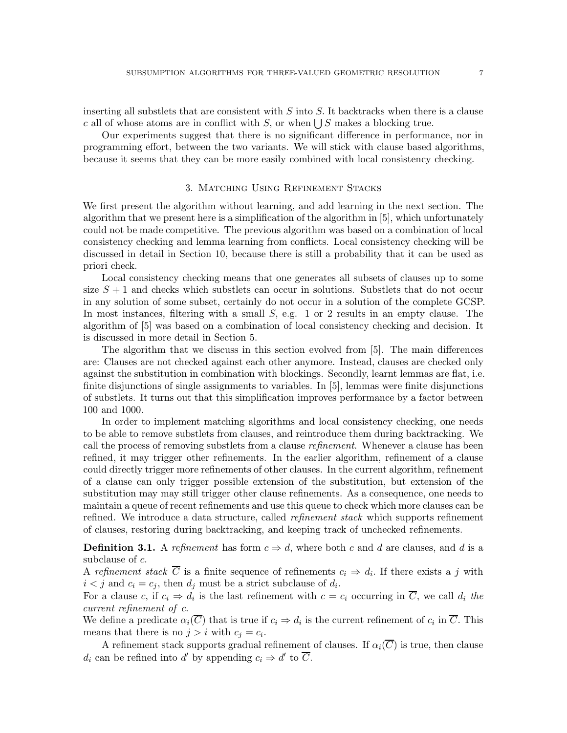inserting all substlets that are consistent with  $S$  into  $S$ . It backtracks when there is a clause c all of whose atoms are in conflict with S, or when  $\bigcup S$  makes a blocking true.

Our experiments suggest that there is no significant difference in performance, nor in programming effort, between the two variants. We will stick with clause based algorithms, because it seems that they can be more easily combined with local consistency checking.

# 3. Matching Using Refinement Stacks

We first present the algorithm without learning, and add learning in the next section. The algorithm that we present here is a simplification of the algorithm in [5], which unfortunately could not be made competitive. The previous algorithm was based on a combination of local consistency checking and lemma learning from conflicts. Local consistency checking will be discussed in detail in Section 10, because there is still a probability that it can be used as priori check.

Local consistency checking means that one generates all subsets of clauses up to some size  $S + 1$  and checks which substlets can occur in solutions. Substlets that do not occur in any solution of some subset, certainly do not occur in a solution of the complete GCSP. In most instances, filtering with a small  $S$ , e.g. 1 or 2 results in an empty clause. The algorithm of [5] was based on a combination of local consistency checking and decision. It is discussed in more detail in Section 5.

The algorithm that we discuss in this section evolved from [5]. The main differences are: Clauses are not checked against each other anymore. Instead, clauses are checked only against the substitution in combination with blockings. Secondly, learnt lemmas are flat, i.e. finite disjunctions of single assignments to variables. In [5], lemmas were finite disjunctions of substlets. It turns out that this simplification improves performance by a factor between 100 and 1000.

In order to implement matching algorithms and local consistency checking, one needs to be able to remove substlets from clauses, and reintroduce them during backtracking. We call the process of removing substlets from a clause *refinement*. Whenever a clause has been refined, it may trigger other refinements. In the earlier algorithm, refinement of a clause could directly trigger more refinements of other clauses. In the current algorithm, refinement of a clause can only trigger possible extension of the substitution, but extension of the substitution may may still trigger other clause refinements. As a consequence, one needs to maintain a queue of recent refinements and use this queue to check which more clauses can be refined. We introduce a data structure, called *refinement stack* which supports refinement of clauses, restoring during backtracking, and keeping track of unchecked refinements.

**Definition 3.1.** A refinement has form  $c \Rightarrow d$ , where both c and d are clauses, and d is a subclause of c.

A refinement stack C is a finite sequence of refinements  $c_i \Rightarrow d_i$ . If there exists a j with  $i < j$  and  $c_i = c_j$ , then  $d_j$  must be a strict subclause of  $d_i$ .

For a clause c, if  $c_i \Rightarrow d_i$  is the last refinement with  $c = c_i$  occurring in  $\overline{C}$ , we call  $d_i$  the current refinement of c.

We define a predicate  $\alpha_i(C)$  that is true if  $c_i \Rightarrow d_i$  is the current refinement of  $c_i$  in C. This means that there is no  $j > i$  with  $c_j = c_i$ .

A refinement stack supports gradual refinement of clauses. If  $\alpha_i(\overline{C})$  is true, then clause  $d_i$  can be refined into d' by appending  $c_i \Rightarrow d'$  to  $\overline{C}$ .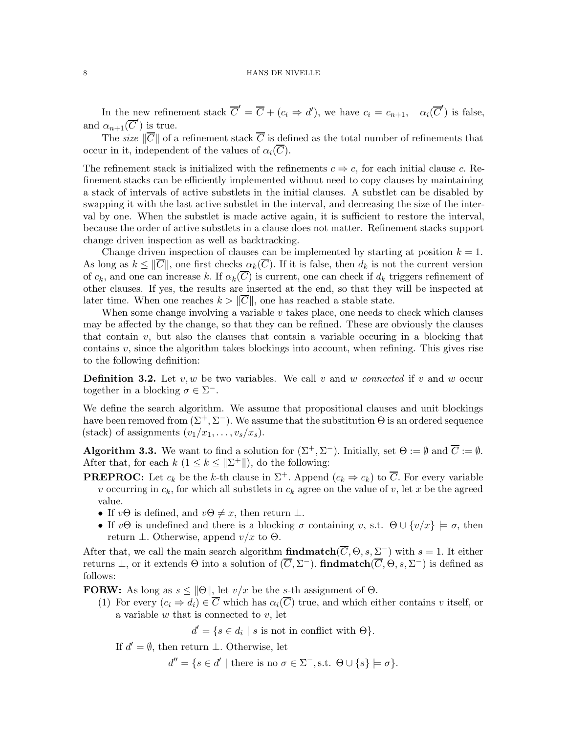In the new refinement stack  $\overline{C}' = \overline{C} + (c_i \Rightarrow d')$ , we have  $c_i = c_{n+1}$ ,  $\alpha_i(\overline{C}')$  is false, and  $\alpha_{n+1}(\overline{C}')$  is true.

The size  $\|\overline{C}\|$  of a refinement stack  $\overline{C}$  is defined as the total number of refinements that occur in it, independent of the values of  $\alpha_i(\overline{C})$ .

The refinement stack is initialized with the refinements  $c \Rightarrow c$ , for each initial clause c. Refinement stacks can be efficiently implemented without need to copy clauses by maintaining a stack of intervals of active substlets in the initial clauses. A substlet can be disabled by swapping it with the last active substlet in the interval, and decreasing the size of the interval by one. When the substlet is made active again, it is sufficient to restore the interval, because the order of active substlets in a clause does not matter. Refinement stacks support change driven inspection as well as backtracking.

Change driven inspection of clauses can be implemented by starting at position  $k = 1$ . As long as  $k \leq ||\overline{C}||$ , one first checks  $\alpha_k(\overline{C})$ . If it is false, then  $d_k$  is not the current version of  $c_k$ , and one can increase k. If  $\alpha_k(\overline{C})$  is current, one can check if  $d_k$  triggers refinement of other clauses. If yes, the results are inserted at the end, so that they will be inspected at later time. When one reaches  $k > ||\overline{C}||$ , one has reached a stable state.

When some change involving a variable  $v$  takes place, one needs to check which clauses may be affected by the change, so that they can be refined. These are obviously the clauses that contain  $v$ , but also the clauses that contain a variable occuring in a blocking that contains  $v$ , since the algorithm takes blockings into account, when refining. This gives rise to the following definition:

**Definition 3.2.** Let v, w be two variables. We call v and w connected if v and w occur together in a blocking  $\sigma \in \Sigma^-$ .

We define the search algorithm. We assume that propositional clauses and unit blockings have been removed from  $(\Sigma^+, \Sigma^-)$ . We assume that the substitution  $\Theta$  is an ordered sequence (stack) of assignments  $(v_1/x_1, \ldots, v_s/x_s)$ .

**Algorithm 3.3.** We want to find a solution for  $(\Sigma^+, \Sigma^-)$ . Initially, set  $\Theta := \emptyset$  and  $\overline{C} := \emptyset$ . After that, for each  $k$   $(1 \leq k \leq ||\Sigma^+||)$ , do the following:

**PREPROC:** Let  $c_k$  be the k-th clause in  $\Sigma^+$ . Append  $(c_k \Rightarrow c_k)$  to  $\overline{C}$ . For every variable v occurring in  $c_k$ , for which all substlets in  $c_k$  agree on the value of v, let x be the agreed value.

- If  $v\Theta$  is defined, and  $v\Theta \neq x$ , then return  $\bot$ .
- If  $v\Theta$  is undefined and there is a blocking  $\sigma$  containing v, s.t.  $\Theta \cup \{v/x\} \models \sigma$ , then return  $\perp$ . Otherwise, append  $v/x$  to  $\Theta$ .

After that, we call the main search algorithm **findmatch**( $\overline{C}$ ,  $\Theta$ ,  $s$ ,  $\Sigma^-$ ) with  $s = 1$ . It either returns  $\perp$ , or it extends  $\Theta$  into a solution of  $(\overline{C}, \Sigma^-)$ . **findmatch** $(\overline{C}, \Theta, s, \Sigma^-)$  is defined as follows:

**FORW:** As long as  $s \le ||\Theta||$ , let  $v/x$  be the s-th assignment of  $\Theta$ .

(1) For every  $(c_i \Rightarrow d_i) \in \overline{C}$  which has  $\alpha_i(\overline{C})$  true, and which either contains v itself, or a variable  $w$  that is connected to  $v$ , let

 $d' = \{ s \in d_i \mid s \text{ is not in conflict with } \Theta \}.$ 

If  $d' = \emptyset$ , then return  $\perp$ . Otherwise, let

 $d'' = \{ s \in d' \mid \text{there is no } \sigma \in \Sigma^-, \text{s.t. } \Theta \cup \{ s \} \models \sigma \}.$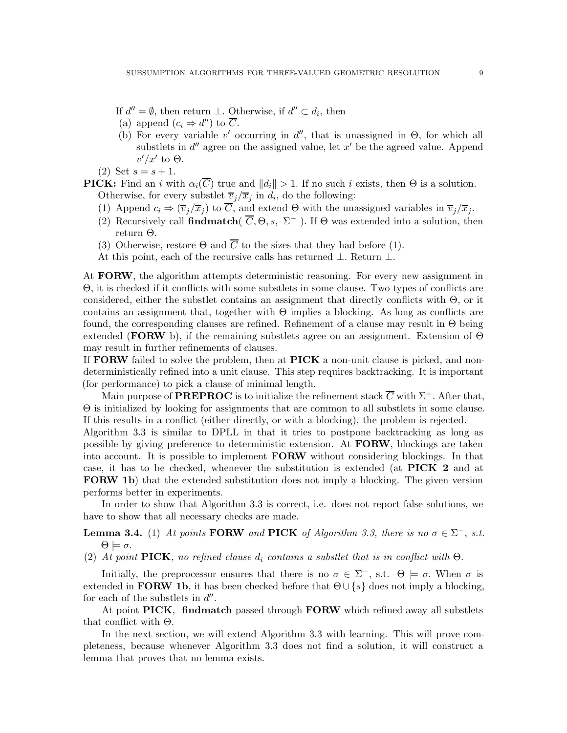If  $d'' = \emptyset$ , then return  $\perp$ . Otherwise, if  $d'' \subset d_i$ , then

- (a) append  $(c_i \Rightarrow d'')$  to  $\overline{C}$ .
- (b) For every variable  $v'$  occurring in  $d''$ , that is unassigned in  $\Theta$ , for which all substlets in  $d''$  agree on the assigned value, let  $x'$  be the agreed value. Append  $v'/x'$  to  $\Theta$ .
- (2) Set  $s = s + 1$ .

**PICK:** Find an i with  $\alpha_i(\overline{C})$  true and  $||d_i|| > 1$ . If no such i exists, then  $\Theta$  is a solution. Otherwise, for every substlet  $\overline{v}_j/\overline{x}_j$  in  $d_i$ , do the following:

- (1) Append  $c_i \Rightarrow (\overline{v}_j/\overline{x}_j)$  to  $\overline{C}$ , and extend  $\Theta$  with the unassigned variables in  $\overline{v}_j/\overline{x}_j$ .
- (2) Recursively call findmatch(  $\overline{C}$ ,  $\Theta$ , s,  $\Sigma^-$ ). If  $\Theta$  was extended into a solution, then return Θ.
- (3) Otherwise, restore  $\Theta$  and  $\overline{C}$  to the sizes that they had before (1).
- At this point, each of the recursive calls has returned ⊥. Return ⊥.

At **FORW**, the algorithm attempts deterministic reasoning. For every new assignment in Θ, it is checked if it conflicts with some substlets in some clause. Two types of conflicts are considered, either the substlet contains an assignment that directly conflicts with  $\Theta$ , or it contains an assignment that, together with  $\Theta$  implies a blocking. As long as conflicts are found, the corresponding clauses are refined. Refinement of a clause may result in  $\Theta$  being extended (FORW b), if the remaining substlets agree on an assignment. Extension of  $\Theta$ may result in further refinements of clauses.

If **FORW** failed to solve the problem, then at  $\text{PICK}$  a non-unit clause is picked, and nondeterministically refined into a unit clause. This step requires backtracking. It is important (for performance) to pick a clause of minimal length.

Main purpose of **PREPROC** is to initialize the refinement stack  $\overline{C}$  with  $\Sigma^+$ . After that, Θ is initialized by looking for assignments that are common to all substlets in some clause. If this results in a conflict (either directly, or with a blocking), the problem is rejected.

Algorithm 3.3 is similar to DPLL in that it tries to postpone backtracking as long as possible by giving preference to deterministic extension. At FORW, blockings are taken into account. It is possible to implement **FORW** without considering blockings. In that case, it has to be checked, whenever the substitution is extended (at PICK 2 and at FORW 1b) that the extended substitution does not imply a blocking. The given version performs better in experiments.

In order to show that Algorithm 3.3 is correct, i.e. does not report false solutions, we have to show that all necessary checks are made.

**Lemma 3.4.** (1) At points **FORW** and **PICK** of Algorithm 3.3, there is no  $\sigma \in \Sigma^-$ , s.t.  $\Theta \models \sigma$ .

(2) At point PICK, no refined clause  $d_i$  contains a substlet that is in conflict with  $\Theta$ .

Initially, the preprocessor ensures that there is no  $\sigma \in \Sigma^-$ , s.t.  $\Theta \models \sigma$ . When  $\sigma$  is extended in **FORW 1b**, it has been checked before that  $\Theta \cup \{s\}$  does not imply a blocking, for each of the substlets in  $d''$ .

At point PICK, findmatch passed through FORW which refined away all substlets that conflict with Θ.

In the next section, we will extend Algorithm 3.3 with learning. This will prove completeness, because whenever Algorithm 3.3 does not find a solution, it will construct a lemma that proves that no lemma exists.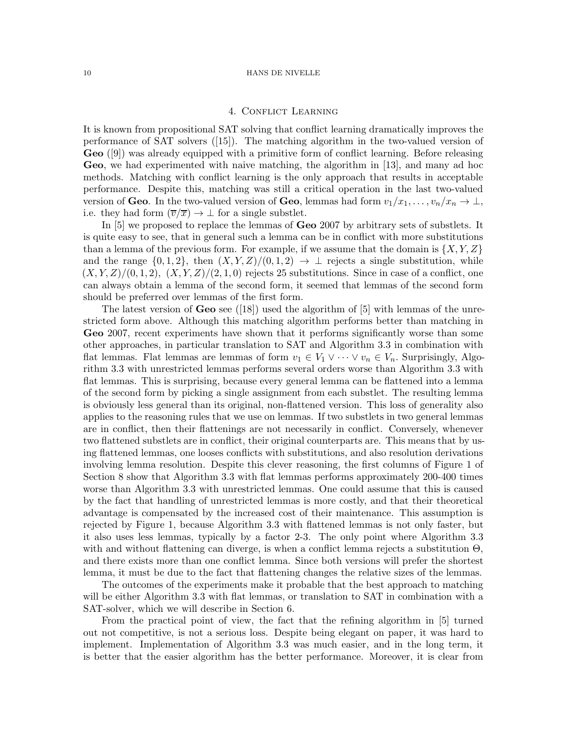### 4. Conflict Learning

It is known from propositional SAT solving that conflict learning dramatically improves the performance of SAT solvers ([15]). The matching algorithm in the two-valued version of Geo ([9]) was already equipped with a primitive form of conflict learning. Before releasing Geo, we had experimented with naive matching, the algorithm in [13], and many ad hoc methods. Matching with conflict learning is the only approach that results in acceptable performance. Despite this, matching was still a critical operation in the last two-valued version of Geo. In the two-valued version of Geo, lemmas had form  $v_1/x_1, \ldots, v_n/x_n \to \perp$ , i.e. they had form  $(\overline{v}/\overline{x}) \to \bot$  for a single substlet.

In [5] we proposed to replace the lemmas of Geo 2007 by arbitrary sets of substlets. It is quite easy to see, that in general such a lemma can be in conflict with more substitutions than a lemma of the previous form. For example, if we assume that the domain is  $\{X, Y, Z\}$ and the range  $\{0, 1, 2\}$ , then  $(X, Y, Z)/(0, 1, 2) \rightarrow \perp$  rejects a single substitution, while  $(X, Y, Z)/(0, 1, 2), (X, Y, Z)/(2, 1, 0)$  rejects 25 substitutions. Since in case of a conflict, one can always obtain a lemma of the second form, it seemed that lemmas of the second form should be preferred over lemmas of the first form.

The latest version of **Geo** see ([18]) used the algorithm of [5] with lemmas of the unrestricted form above. Although this matching algorithm performs better than matching in Geo 2007, recent experiments have shown that it performs significantly worse than some other approaches, in particular translation to SAT and Algorithm 3.3 in combination with flat lemmas. Flat lemmas are lemmas of form  $v_1 \in V_1 \vee \cdots \vee v_n \in V_n$ . Surprisingly, Algorithm 3.3 with unrestricted lemmas performs several orders worse than Algorithm 3.3 with flat lemmas. This is surprising, because every general lemma can be flattened into a lemma of the second form by picking a single assignment from each substlet. The resulting lemma is obviously less general than its original, non-flattened version. This loss of generality also applies to the reasoning rules that we use on lemmas. If two substlets in two general lemmas are in conflict, then their flattenings are not necessarily in conflict. Conversely, whenever two flattened substlets are in conflict, their original counterparts are. This means that by using flattened lemmas, one looses conflicts with substitutions, and also resolution derivations involving lemma resolution. Despite this clever reasoning, the first columns of Figure 1 of Section 8 show that Algorithm 3.3 with flat lemmas performs approximately 200-400 times worse than Algorithm 3.3 with unrestricted lemmas. One could assume that this is caused by the fact that handling of unrestricted lemmas is more costly, and that their theoretical advantage is compensated by the increased cost of their maintenance. This assumption is rejected by Figure 1, because Algorithm 3.3 with flattened lemmas is not only faster, but it also uses less lemmas, typically by a factor 2-3. The only point where Algorithm 3.3 with and without flattening can diverge, is when a conflict lemma rejects a substitution Θ, and there exists more than one conflict lemma. Since both versions will prefer the shortest lemma, it must be due to the fact that flattening changes the relative sizes of the lemmas.

The outcomes of the experiments make it probable that the best approach to matching will be either Algorithm 3.3 with flat lemmas, or translation to SAT in combination with a SAT-solver, which we will describe in Section 6.

From the practical point of view, the fact that the refining algorithm in [5] turned out not competitive, is not a serious loss. Despite being elegant on paper, it was hard to implement. Implementation of Algorithm 3.3 was much easier, and in the long term, it is better that the easier algorithm has the better performance. Moreover, it is clear from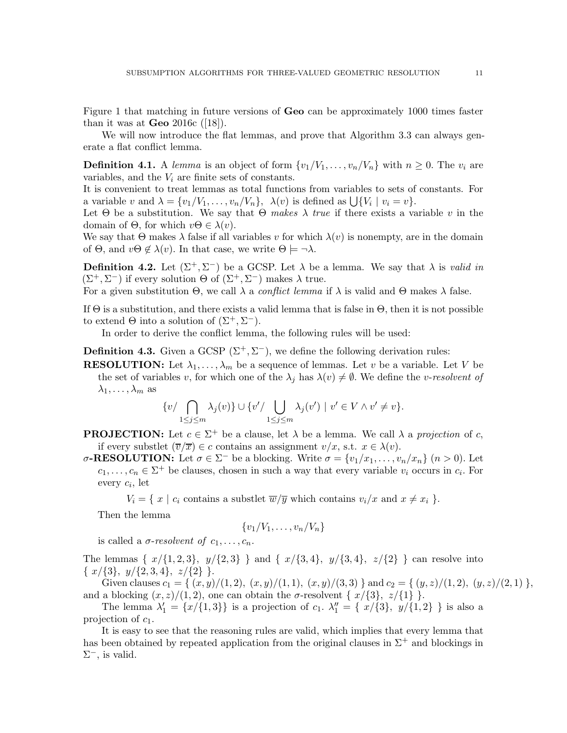Figure 1 that matching in future versions of Geo can be approximately 1000 times faster than it was at  $\bf{Geo}$  2016c ([18]).

We will now introduce the flat lemmas, and prove that Algorithm 3.3 can always generate a flat conflict lemma.

**Definition 4.1.** A lemma is an object of form  $\{v_1/V_1, \ldots, v_n/V_n\}$  with  $n \geq 0$ . The  $v_i$  are variables, and the  $V_i$  are finite sets of constants.

It is convenient to treat lemmas as total functions from variables to sets of constants. For a variable v and  $\lambda = \{v_1/V_1, \ldots, v_n/V_n\}, \lambda(v)$  is defined as  $\bigcup \{V_i \mid v_i = v\}.$ 

Let  $\Theta$  be a substitution. We say that  $\Theta$  makes  $\lambda$  true if there exists a variable v in the domain of  $\Theta$ , for which  $v\Theta \in \lambda(v)$ .

We say that  $\Theta$  makes  $\lambda$  false if all variables v for which  $\lambda(v)$  is nonempty, are in the domain of  $\Theta$ , and  $v\Theta \notin \lambda(v)$ . In that case, we write  $\Theta \models \neg \lambda$ .

**Definition 4.2.** Let  $(\Sigma^+, \Sigma^-)$  be a GCSP. Let  $\lambda$  be a lemma. We say that  $\lambda$  is valid in  $(\Sigma^+, \Sigma^-)$  if every solution  $\Theta$  of  $(\Sigma^+, \Sigma^-)$  makes  $\lambda$  true.

For a given substitution  $\Theta$ , we call  $\lambda$  a *conflict lemma* if  $\lambda$  is valid and  $\Theta$  makes  $\lambda$  false.

If  $\Theta$  is a substitution, and there exists a valid lemma that is false in  $\Theta$ , then it is not possible to extend  $\Theta$  into a solution of  $(\Sigma^+, \Sigma^-)$ .

In order to derive the conflict lemma, the following rules will be used:

**Definition 4.3.** Given a GCSP  $(\Sigma^+, \Sigma^-)$ , we define the following derivation rules:

**RESOLUTION:** Let  $\lambda_1, \ldots, \lambda_m$  be a sequence of lemmas. Let v be a variable. Let V be the set of variables v, for which one of the  $\lambda_i$  has  $\lambda(v) \neq \emptyset$ . We define the v-resolvent of  $\lambda_1, \ldots, \lambda_m$  as

$$
\{v/\bigcap_{1\leq j\leq m}\lambda_j(v)\}\cup\{v'/\bigcup_{1\leq j\leq m}\lambda_j(v')\mid v'\in V\wedge v'\neq v\}.
$$

- **PROJECTION:** Let  $c \in \Sigma^+$  be a clause, let  $\lambda$  be a lemma. We call  $\lambda$  a projection of c, if every substlet  $(\overline{v}/\overline{x}) \in c$  contains an assignment  $v/x$ , s.t.  $x \in \lambda(v)$ .
- σ-RESOLUTION: Let  $\sigma \in \Sigma^-$  be a blocking. Write  $\sigma = \{v_1/x_1, \ldots, v_n/x_n\}$   $(n > 0)$ . Let  $c_1, \ldots, c_n \in \Sigma^+$  be clauses, chosen in such a way that every variable  $v_i$  occurs in  $c_i$ . For every c<sup>i</sup> , let

 $V_i = \{ x \mid c_i \text{ contains a subsetlet } \overline{w}/\overline{y} \text{ which contains } v_i/x \text{ and } x \neq x_i \}.$ 

Then the lemma

$$
\{v_1/V_1,\ldots,v_n/V_n\}
$$

is called a  $\sigma$ -resolvent of  $c_1, \ldots, c_n$ .

The lemmas  $\{ x/\{1,2,3\}, y/\{2,3\} \}$  and  $\{ x/\{3,4\}, y/\{3,4\}, z/\{2\} \}$  can resolve into  $\{ x/\{3\}, y/\{2,3,4\}, z/\{2\} \}.$ 

Given clauses  $c_1 = \{ (x, y)/(1, 2), (x, y)/(1, 1), (x, y)/(3, 3) \}$  and  $c_2 = \{ (y, z)/(1, 2), (y, z)/(2, 1) \}$ , and a blocking  $(x, z)/(1, 2)$ , one can obtain the  $\sigma$ -resolvent  $\{ x/\{3\}, z/\{1\} \}.$ 

The lemma  $\lambda'_1 = \{x/\{1,3\}\}\$ is a projection of  $c_1$ .  $\lambda''_1 = \{x/\{3\}, y/\{1,2\}\}\$ is also a projection of  $c_1$ .

It is easy to see that the reasoning rules are valid, which implies that every lemma that has been obtained by repeated application from the original clauses in  $\Sigma^+$  and blockings in  $\Sigma^-$ , is valid.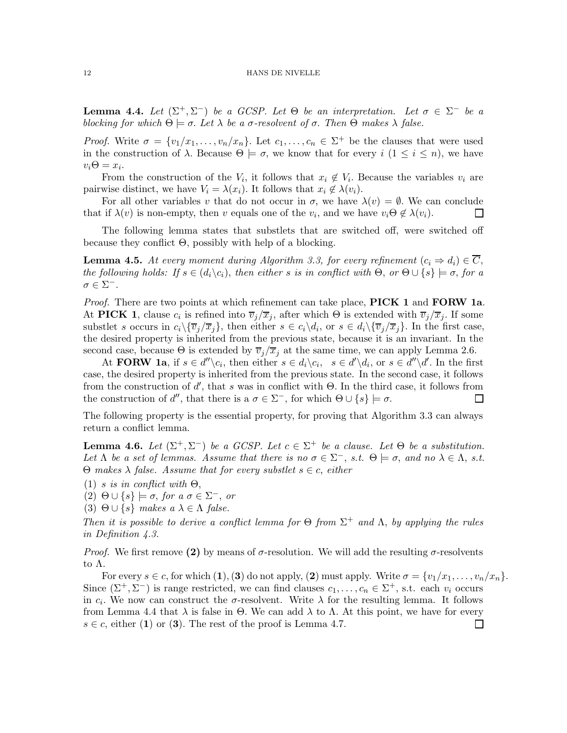**Lemma 4.4.** Let  $(\Sigma^+, \Sigma^-)$  be a GCSP. Let  $\Theta$  be an interpretation. Let  $\sigma \in \Sigma^-$  be a blocking for which  $\Theta \models \sigma$ . Let  $\lambda$  be a  $\sigma$ -resolvent of  $\sigma$ . Then  $\Theta$  makes  $\lambda$  false.

*Proof.* Write  $\sigma = \{v_1/x_1, \ldots, v_n/x_n\}$ . Let  $c_1, \ldots, c_n \in \Sigma^+$  be the clauses that were used in the construction of  $\lambda$ . Because  $\Theta \models \sigma$ , we know that for every  $i$   $(1 \leq i \leq n)$ , we have  $v_i\Theta=x_i.$ 

From the construction of the  $V_i$ , it follows that  $x_i \notin V_i$ . Because the variables  $v_i$  are pairwise distinct, we have  $V_i = \lambda(x_i)$ . It follows that  $x_i \notin \lambda(v_i)$ .

For all other variables v that do not occur in  $\sigma$ , we have  $\lambda(v) = \emptyset$ . We can conclude that if  $\lambda(v)$  is non-empty, then v equals one of the  $v_i$ , and we have  $v_i \Theta \notin \lambda(v_i)$ .  $\Box$ 

The following lemma states that substlets that are switched off, were switched off because they conflict Θ, possibly with help of a blocking.

**Lemma 4.5.** At every moment during Algorithm 3.3, for every refinement  $(c_i \Rightarrow d_i) \in \overline{C}$ , the following holds: If  $s \in (d_i \backslash c_i)$ , then either s is in conflict with  $\Theta$ , or  $\Theta \cup \{s\} \models \sigma$ , for a  $\sigma \in \Sigma^-$ .

*Proof.* There are two points at which refinement can take place, **PICK 1** and **FORW 1a**. At PICK 1, clause  $c_i$  is refined into  $\overline{v}_j/\overline{x}_j$ , after which  $\Theta$  is extended with  $\overline{v}_j/\overline{x}_j$ . If some substlet s occurs in  $c_i \setminus {\{\overline{v}_j/\overline{x}_j\}}$ , then either  $s \in c_i \setminus d_i$ , or  $s \in d_i \setminus {\{\overline{v}_j/\overline{x}_j\}}$ . In the first case, the desired property is inherited from the previous state, because it is an invariant. In the second case, because  $\Theta$  is extended by  $\overline{v}_j/\overline{x}_j$  at the same time, we can apply Lemma 2.6.

At **FORW** 1a, if  $s \in d'' \setminus c_i$ , then either  $s \in d_i \setminus c_i$ ,  $s \in d' \setminus d_i$ , or  $s \in d'' \setminus d'$ . In the first case, the desired property is inherited from the previous state. In the second case, it follows from the construction of  $d'$ , that s was in conflict with  $\Theta$ . In the third case, it follows from the construction of d'', that there is a  $\sigma \in \Sigma^-$ , for which  $\Theta \cup \{s\} \models \sigma$ . ப

The following property is the essential property, for proving that Algorithm 3.3 can always return a conflict lemma.

**Lemma 4.6.** Let  $(\Sigma^+, \Sigma^-)$  be a GCSP. Let  $c \in \Sigma^+$  be a clause. Let  $\Theta$  be a substitution. Let  $\Lambda$  be a set of lemmas. Assume that there is no  $\sigma \in \Sigma^-$ , s.t.  $\Theta \models \sigma$ , and no  $\lambda \in \Lambda$ , s.t.  $Θ$  makes  $\lambda$  false. Assume that for every substlet  $s \in c$ , either

(1) s is in conflict with  $\Theta$ ,

 $(2) \Theta \cup \{s\} \models \sigma, \text{ for a } \sigma \in \Sigma^-, \text{ or }$ 

(3)  $\Theta \cup \{s\}$  makes  $a \lambda \in \Lambda$  false.

Then it is possible to derive a conflict lemma for  $\Theta$  from  $\Sigma^+$  and  $\Lambda$ , by applying the rules in Definition 4.3.

*Proof.* We first remove (2) by means of  $\sigma$ -resolution. We will add the resulting  $\sigma$ -resolvents to Λ.

For every  $s \in c$ , for which  $(1)$ ,  $(3)$  do not apply,  $(2)$  must apply. Write  $\sigma = \{v_1/x_1, \ldots, v_n/x_n\}$ . Since  $(\Sigma^+, \Sigma^-)$  is range restricted, we can find clauses  $c_1, \ldots, c_n \in \Sigma^+$ , s.t. each  $v_i$  occurs in  $c_i$ . We now can construct the  $\sigma$ -resolvent. Write  $\lambda$  for the resulting lemma. It follows from Lemma 4.4 that λ is false in Θ. We can add λ to Λ. At this point, we have for every  $s \in c$ , either (1) or (3). The rest of the proof is Lemma 4.7.  $\Box$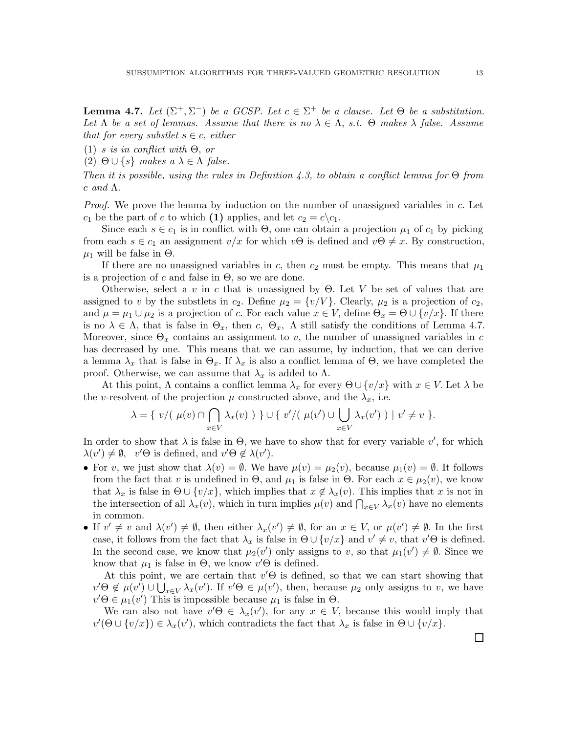**Lemma 4.7.** Let  $(\Sigma^+, \Sigma^-)$  be a GCSP. Let  $c \in \Sigma^+$  be a clause. Let  $\Theta$  be a substitution. Let  $\Lambda$  be a set of lemmas. Assume that there is no  $\lambda \in \Lambda$ , s.t.  $\Theta$  makes  $\lambda$  false. Assume that for every substlet  $s \in c$ , either

(1) s is in conflict with  $\Theta$ , or

(2)  $\Theta \cup \{s\}$  makes  $a \lambda \in \Lambda$  false.

Then it is possible, using the rules in Definition 4.3, to obtain a conflict lemma for  $\Theta$  from  $c \text{ and } \Lambda.$ 

Proof. We prove the lemma by induction on the number of unassigned variables in c. Let  $c_1$  be the part of c to which (1) applies, and let  $c_2 = c \backslash c_1$ .

Since each  $s \in c_1$  is in conflict with  $\Theta$ , one can obtain a projection  $\mu_1$  of  $c_1$  by picking from each  $s \in c_1$  an assignment  $v/x$  for which  $v\Theta$  is defined and  $v\Theta \neq x$ . By construction,  $\mu_1$  will be false in  $\Theta$ .

If there are no unassigned variables in c, then  $c_2$  must be empty. This means that  $\mu_1$ is a projection of c and false in  $\Theta$ , so we are done.

Otherwise, select a v in c that is unassigned by  $\Theta$ . Let V be set of values that are assigned to v by the substlets in  $c_2$ . Define  $\mu_2 = \{v/V\}$ . Clearly,  $\mu_2$  is a projection of  $c_2$ , and  $\mu = \mu_1 \cup \mu_2$  is a projection of c. For each value  $x \in V$ , define  $\Theta_x = \Theta \cup \{v/x\}$ . If there is no  $\lambda \in \Lambda$ , that is false in  $\Theta_x$ , then c,  $\Theta_x$ ,  $\Lambda$  still satisfy the conditions of Lemma 4.7. Moreover, since  $\Theta_x$  contains an assignment to v, the number of unassigned variables in c has decreased by one. This means that we can assume, by induction, that we can derive a lemma  $\lambda_x$  that is false in  $\Theta_x$ . If  $\lambda_x$  is also a conflict lemma of  $\Theta$ , we have completed the proof. Otherwise, we can assume that  $\lambda_x$  is added to  $\Lambda$ .

At this point,  $\Lambda$  contains a conflict lemma  $\lambda_x$  for every  $\Theta \cup \{v/x\}$  with  $x \in V$ . Let  $\lambda$  be the v-resolvent of the projection  $\mu$  constructed above, and the  $\lambda_x$ , i.e.

$$
\lambda = \{ v/(\mu(v) \cap \bigcap_{x \in V} \lambda_x(v)) \} \cup \{ v'/(\mu(v') \cup \bigcup_{x \in V} \lambda_x(v')) \mid v' \neq v \}.
$$

In order to show that  $\lambda$  is false in  $\Theta$ , we have to show that for every variable  $v'$ , for which  $\lambda(v') \neq \emptyset$ ,  $v' \Theta$  is defined, and  $v' \Theta \notin \lambda(v')$ .

- For v, we just show that  $\lambda(v) = \emptyset$ . We have  $\mu(v) = \mu_2(v)$ , because  $\mu_1(v) = \emptyset$ . It follows from the fact that v is undefined in  $\Theta$ , and  $\mu_1$  is false in  $\Theta$ . For each  $x \in \mu_2(v)$ , we know that  $\lambda_x$  is false in  $\Theta \cup \{v/x\}$ , which implies that  $x \notin \lambda_x(v)$ . This implies that x is not in the intersection of all  $\lambda_x(v)$ , which in turn implies  $\mu(v)$  and  $\bigcap_{x\in V}\lambda_x(v)$  have no elements in common.
- If  $v' \neq v$  and  $\lambda(v') \neq \emptyset$ , then either  $\lambda_x(v') \neq \emptyset$ , for an  $x \in V$ , or  $\mu(v') \neq \emptyset$ . In the first case, it follows from the fact that  $\lambda_x$  is false in  $\Theta \cup \{v/x\}$  and  $v' \neq v$ , that  $v' \Theta$  is defined. In the second case, we know that  $\mu_2(v')$  only assigns to v, so that  $\mu_1(v') \neq \emptyset$ . Since we know that  $\mu_1$  is false in  $\Theta$ , we know  $v' \Theta$  is defined.

At this point, we are certain that  $v' \Theta$  is defined, so that we can start showing that  $v'\Theta \notin \mu(v')\cup \bigcup_{x\in V}\lambda_x(v')$ . If  $v'\Theta \in \mu(v')$ , then, because  $\mu_2$  only assigns to v, we have  $v' \Theta \in \mu_1(v')$  This is impossible because  $\mu_1$  is false in  $\Theta$ .

We can also not have  $v' \Theta \in \lambda_x(v')$ , for any  $x \in V$ , because this would imply that  $v'(\Theta \cup \{v/x\}) \in \lambda_x(v')$ , which contradicts the fact that  $\lambda_x$  is false in  $\Theta \cup \{v/x\}$ .

 $\Box$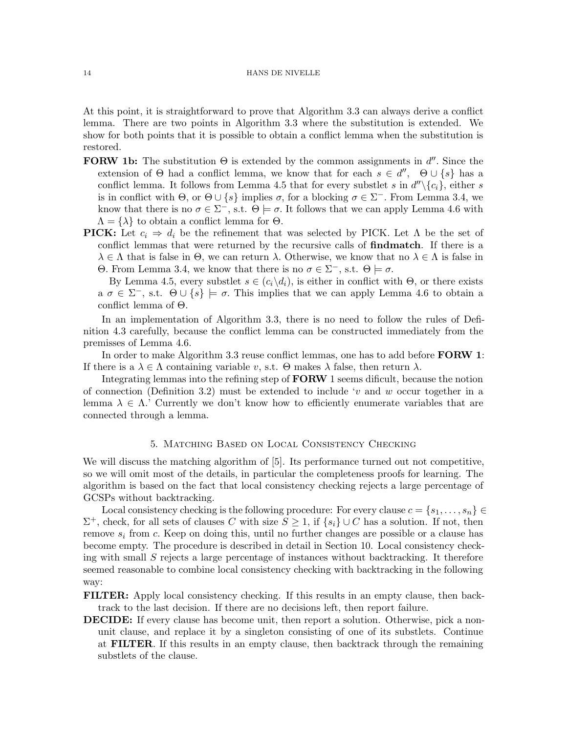At this point, it is straightforward to prove that Algorithm 3.3 can always derive a conflict lemma. There are two points in Algorithm 3.3 where the substitution is extended. We show for both points that it is possible to obtain a conflict lemma when the substitution is restored.

- **FORW 1b:** The substitution  $\Theta$  is extended by the common assignments in  $d''$ . Since the extension of  $\Theta$  had a conflict lemma, we know that for each  $s \in d''$ ,  $\Theta \cup \{s\}$  has a conflict lemma. It follows from Lemma 4.5 that for every substlet s in  $d''\setminus \{c_i\}$ , either s is in conflict with  $\Theta$ , or  $\Theta \cup \{s\}$  implies  $\sigma$ , for a blocking  $\sigma \in \Sigma^-$ . From Lemma 3.4, we know that there is no  $\sigma \in \Sigma^-,$  s.t.  $\Theta \models \sigma$ . It follows that we can apply Lemma 4.6 with  $\Lambda = {\lambda}$  to obtain a conflict lemma for  $\Theta$ .
- **PICK:** Let  $c_i \Rightarrow d_i$  be the refinement that was selected by PICK. Let  $\Lambda$  be the set of conflict lemmas that were returned by the recursive calls of findmatch. If there is a  $\lambda \in \Lambda$  that is false in  $\Theta$ , we can return  $\lambda$ . Otherwise, we know that no  $\lambda \in \Lambda$  is false in Θ. From Lemma 3.4, we know that there is no  $\sigma \in \Sigma^-,$  s.t.  $\Theta \models \sigma$ .

By Lemma 4.5, every substlet  $s \in (c_i\backslash d_i)$ , is either in conflict with  $\Theta$ , or there exists  $a \sigma \in \Sigma^-,$  s.t.  $\Theta \cup \{s\} \models \sigma$ . This implies that we can apply Lemma 4.6 to obtain a conflict lemma of Θ.

In an implementation of Algorithm 3.3, there is no need to follow the rules of Definition 4.3 carefully, because the conflict lemma can be constructed immediately from the premisses of Lemma 4.6.

In order to make Algorithm 3.3 reuse conflict lemmas, one has to add before FORW 1: If there is a  $\lambda \in \Lambda$  containing variable v, s.t.  $\Theta$  makes  $\lambda$  false, then return  $\lambda$ .

Integrating lemmas into the refining step of FORW 1 seems dificult, because the notion of connection (Definition 3.2) must be extended to include 'v and w occur together in a lemma  $\lambda \in \Lambda$ . Currently we don't know how to efficiently enumerate variables that are connected through a lemma.

# 5. Matching Based on Local Consistency Checking

We will discuss the matching algorithm of [5]. Its performance turned out not competitive, so we will omit most of the details, in particular the completeness proofs for learning. The algorithm is based on the fact that local consistency checking rejects a large percentage of GCSPs without backtracking.

Local consistency checking is the following procedure: For every clause  $c = \{s_1, \ldots, s_n\} \in$  $\Sigma^+$ , check, for all sets of clauses C with size  $S \geq 1$ , if  $\{s_i\} \cup C$  has a solution. If not, then remove  $s_i$  from c. Keep on doing this, until no further changes are possible or a clause has become empty. The procedure is described in detail in Section 10. Local consistency checking with small S rejects a large percentage of instances without backtracking. It therefore seemed reasonable to combine local consistency checking with backtracking in the following way:

FILTER: Apply local consistency checking. If this results in an empty clause, then backtrack to the last decision. If there are no decisions left, then report failure.

DECIDE: If every clause has become unit, then report a solution. Otherwise, pick a nonunit clause, and replace it by a singleton consisting of one of its substlets. Continue at FILTER. If this results in an empty clause, then backtrack through the remaining substlets of the clause.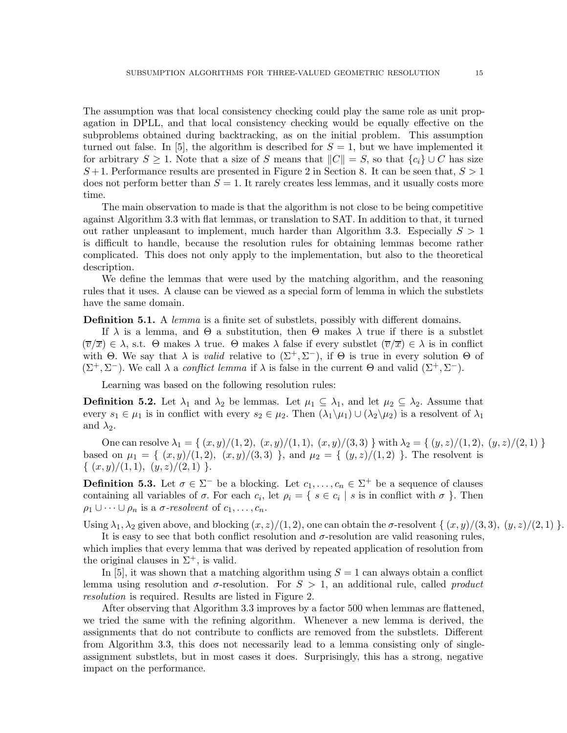The assumption was that local consistency checking could play the same role as unit propagation in DPLL, and that local consistency checking would be equally effective on the subproblems obtained during backtracking, as on the initial problem. This assumption turned out false. In [5], the algorithm is described for  $S = 1$ , but we have implemented it for arbitrary  $S \geq 1$ . Note that a size of S means that  $||C|| = S$ , so that  $\{c_i\} \cup C$  has size  $S+1$ . Performance results are presented in Figure 2 in Section 8. It can be seen that,  $S>1$ does not perform better than  $S = 1$ . It rarely creates less lemmas, and it usually costs more time.

The main observation to made is that the algorithm is not close to be being competitive against Algorithm 3.3 with flat lemmas, or translation to SAT. In addition to that, it turned out rather unpleasant to implement, much harder than Algorithm 3.3. Especially  $S > 1$ is difficult to handle, because the resolution rules for obtaining lemmas become rather complicated. This does not only apply to the implementation, but also to the theoretical description.

We define the lemmas that were used by the matching algorithm, and the reasoning rules that it uses. A clause can be viewed as a special form of lemma in which the substlets have the same domain.

**Definition 5.1.** A *lemma* is a finite set of substlets, possibly with different domains.

If  $\lambda$  is a lemma, and  $\Theta$  a substitution, then  $\Theta$  makes  $\lambda$  true if there is a substlet  $(\overline{v}/\overline{x}) \in \lambda$ , s.t.  $\Theta$  makes  $\lambda$  true.  $\Theta$  makes  $\lambda$  false if every substlet  $(\overline{v}/\overline{x}) \in \lambda$  is in conflict with  $\Theta$ . We say that  $\lambda$  is *valid* relative to  $(\Sigma^+, \Sigma^-)$ , if  $\Theta$  is true in every solution  $\Theta$  of  $(\Sigma^+, \Sigma^-)$ . We call  $\lambda$  a *conflict lemma* if  $\lambda$  is false in the current  $\Theta$  and valid  $(\Sigma^+, \Sigma^-)$ .

Learning was based on the following resolution rules:

**Definition 5.2.** Let  $\lambda_1$  and  $\lambda_2$  be lemmas. Let  $\mu_1 \subseteq \lambda_1$ , and let  $\mu_2 \subseteq \lambda_2$ . Assume that every  $s_1 \in \mu_1$  is in conflict with every  $s_2 \in \mu_2$ . Then  $(\lambda_1 \setminus \mu_1) \cup (\lambda_2 \setminus \mu_2)$  is a resolvent of  $\lambda_1$ and  $\lambda_2$ .

One can resolve  $\lambda_1 = \{ (x, y)/(1, 2), (x, y)/(1, 1), (x, y)/(3, 3) \}$  with  $\lambda_2 = \{ (y, z)/(1, 2), (y, z)/(2, 1) \}$ based on  $\mu_1 = \{ (x, y)/(1, 2), (x, y)/(3, 3) \}$ , and  $\mu_2 = \{ (y, z)/(1, 2) \}$ . The resolvent is  $\{ (x,y)/(1,1), (y,z)/(2,1) \}.$ 

**Definition 5.3.** Let  $\sigma \in \Sigma^-$  be a blocking. Let  $c_1, \ldots, c_n \in \Sigma^+$  be a sequence of clauses containing all variables of  $\sigma$ . For each  $c_i$ , let  $\rho_i = \{ s \in c_i \mid s \text{ is in conflict with } \sigma \}$ . Then  $\rho_1 \cup \cdots \cup \rho_n$  is a  $\sigma$ -resolvent of  $c_1, \ldots, c_n$ .

Using  $\lambda_1, \lambda_2$  given above, and blocking  $(x, z)/(1, 2)$ , one can obtain the  $\sigma$ -resolvent  $\{(x, y)/(3, 3), (y, z)/(2, 1)\}$ .

It is easy to see that both conflict resolution and  $\sigma$ -resolution are valid reasoning rules, which implies that every lemma that was derived by repeated application of resolution from the original clauses in  $\Sigma^+$ , is valid.

In [5], it was shown that a matching algorithm using  $S = 1$  can always obtain a conflict lemma using resolution and  $\sigma$ -resolution. For  $S > 1$ , an additional rule, called *product* resolution is required. Results are listed in Figure 2.

After observing that Algorithm 3.3 improves by a factor 500 when lemmas are flattened, we tried the same with the refining algorithm. Whenever a new lemma is derived, the assignments that do not contribute to conflicts are removed from the substlets. Different from Algorithm 3.3, this does not necessarily lead to a lemma consisting only of singleassignment substlets, but in most cases it does. Surprisingly, this has a strong, negative impact on the performance.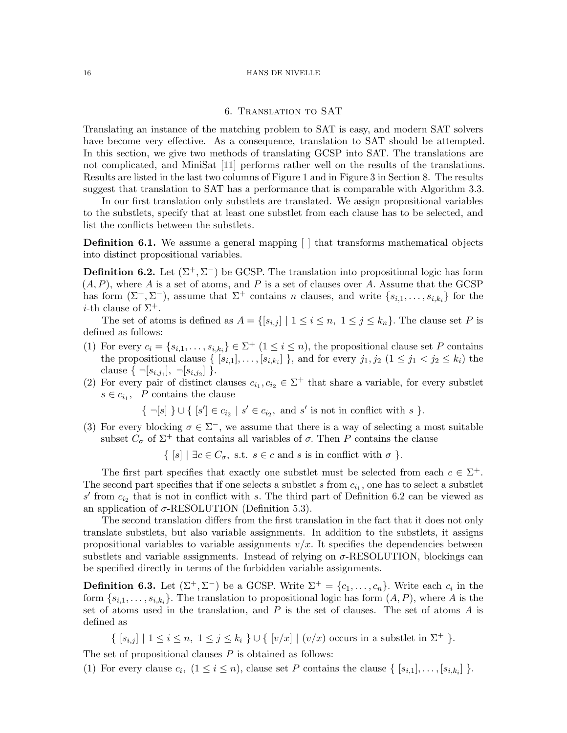### 6. Translation to SAT

Translating an instance of the matching problem to SAT is easy, and modern SAT solvers have become very effective. As a consequence, translation to SAT should be attempted. In this section, we give two methods of translating GCSP into SAT. The translations are not complicated, and MiniSat [11] performs rather well on the results of the translations. Results are listed in the last two columns of Figure 1 and in Figure 3 in Section 8. The results suggest that translation to SAT has a performance that is comparable with Algorithm 3.3.

In our first translation only substlets are translated. We assign propositional variables to the substlets, specify that at least one substlet from each clause has to be selected, and list the conflicts between the substlets.

**Definition 6.1.** We assume a general mapping  $\lceil \cdot \rceil$  that transforms mathematical objects into distinct propositional variables.

**Definition 6.2.** Let  $(\Sigma^+, \Sigma^-)$  be GCSP. The translation into propositional logic has form  $(A, P)$ , where A is a set of atoms, and P is a set of clauses over A. Assume that the GCSP has form  $(\Sigma^+, \Sigma^-)$ , assume that  $\Sigma^+$  contains n clauses, and write  $\{s_{i,1}, \ldots, s_{i,k_i}\}$  for the *i*-th clause of  $\Sigma^+$ .

The set of atoms is defined as  $A = \{ [s_{i,j}] \mid 1 \leq i \leq n, 1 \leq j \leq k_n \}.$  The clause set P is defined as follows:

- (1) For every  $c_i = \{s_{i,1}, \ldots, s_{i,k_i}\} \in \Sigma^+$   $(1 \leq i \leq n)$ , the propositional clause set P contains the propositional clause  $\{ [s_{i,1}], \ldots, [s_{i,k_i}] \}$ , and for every  $j_1, j_2$   $(1 \leq j_1 < j_2 \leq k_i)$  the clause  $\{\neg [s_{i,j_1}], \neg [s_{i,j_2}]\}$ .
- (2) For every pair of distinct clauses  $c_{i_1}, c_{i_2} \in \Sigma^+$  that share a variable, for every substlet  $s \in c_{i_1}, \ P$  contains the clause

 $\{\neg [s] \}\cup \{\ [s'] \in c_{i_2} \mid s' \in c_{i_2}, \text{ and } s' \text{ is not in conflict with } s \}.$ 

(3) For every blocking  $\sigma \in \Sigma^-$ , we assume that there is a way of selecting a most suitable subset  $C_{\sigma}$  of  $\Sigma^{+}$  that contains all variables of  $\sigma$ . Then P contains the clause

 $\{ [s] | \exists c \in C_{\sigma}, \text{ s.t. } s \in c \text{ and } s \text{ is in conflict with } \sigma \}.$ 

The first part specifies that exactly one substlet must be selected from each  $c \in \Sigma^+$ . The second part specifies that if one selects a substlet s from  $c_{i_1}$ , one has to select a substlet  $s'$  from  $c_{i_2}$  that is not in conflict with s. The third part of Definition 6.2 can be viewed as an application of  $\sigma$ -RESOLUTION (Definition 5.3).

The second translation differs from the first translation in the fact that it does not only translate substlets, but also variable assignments. In addition to the substlets, it assigns propositional variables to variable assignments  $v/x$ . It specifies the dependencies between substlets and variable assignments. Instead of relying on  $\sigma$ -RESOLUTION, blockings can be specified directly in terms of the forbidden variable assignments.

**Definition 6.3.** Let  $(\Sigma^+, \Sigma^-)$  be a GCSP. Write  $\Sigma^+ = \{c_1, \ldots, c_n\}$ . Write each  $c_i$  in the form  $\{s_{i,1},\ldots,s_{i,k_i}\}$ . The translation to propositional logic has form  $(A, P)$ , where A is the set of atoms used in the translation, and  $P$  is the set of clauses. The set of atoms  $A$  is defined as

 $\{ |s_{i,j}| \mid 1 \leq i \leq n, 1 \leq j \leq k_i \} \cup \{ |v/x| \mid (v/x) \text{ occurs in a subsetlet in } \Sigma^+ \}.$ 

The set of propositional clauses  $P$  is obtained as follows:

(1) For every clause  $c_i$ ,  $(1 \leq i \leq n)$ , clause set P contains the clause  $\{ [s_{i,1}], \ldots, [s_{i,k_i}] \}$ .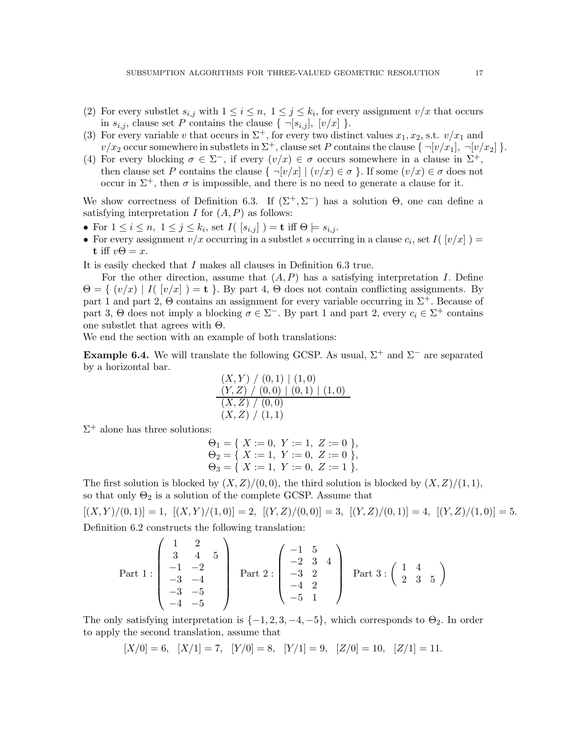- (2) For every substlet  $s_{i,j}$  with  $1 \leq i \leq n, 1 \leq j \leq k_i$ , for every assignment  $v/x$  that occurs in  $s_{i,j}$ , clause set P contains the clause  $\{\neg [s_{i,j}], [v/x] \}$ .
- (3) For every variable v that occurs in  $\Sigma^+$ , for every two distinct values  $x_1, x_2$ , s.t.  $v/x_1$  and  $v/x_2$  occur somewhere in substlets in  $\Sigma^+$ , clause set P contains the clause  $\{\neg [v/x_1], \neg [v/x_2]\}$ .
- (4) For every blocking  $\sigma \in \Sigma^-$ , if every  $(v/x) \in \sigma$  occurs somewhere in a clause in  $\Sigma^+$ , then clause set P contains the clause  $\{-[v/x] \mid (v/x) \in \sigma\}$ . If some  $(v/x) \in \sigma$  does not occur in  $\Sigma^+$ , then  $\sigma$  is impossible, and there is no need to generate a clause for it.

We show correctness of Definition 6.3. If  $(\Sigma^+, \Sigma^-)$  has a solution  $\Theta$ , one can define a satisfying interpretation  $I$  for  $(A, P)$  as follows:

- For  $1 \leq i \leq n, \ 1 \leq j \leq k_i$ , set  $I([s_{i,j}]) = \mathbf{t}$  iff  $\Theta \models s_{i,j}$ .
- For every assignment  $v/x$  occurring in a substlet s occurring in a clause  $c_i$ , set  $I([v/x]) =$ t iff  $v\Theta = x$ .

It is easily checked that I makes all clauses in Definition 6.3 true.

For the other direction, assume that  $(A, P)$  has a satisfying interpretation I. Define  $\Theta = \{ (v/x) | I([v/x]) = \mathbf{t} \}.$  By part 4,  $\Theta$  does not contain conflicting assignments. By part 1 and part 2,  $\Theta$  contains an assignment for every variable occurring in  $\Sigma^+$ . Because of part 3,  $\Theta$  does not imply a blocking  $\sigma \in \Sigma^-$ . By part 1 and part 2, every  $c_i \in \Sigma^+$  contains one substlet that agrees with Θ.

We end the section with an example of both translations:

Example 6.4. We will translate the following GCSP. As usual,  $\Sigma^+$  and  $\Sigma^-$  are separated by a horizontal bar.

$$
\begin{array}{l} (X,Y) \ / \ (0,1) \ | \ (1,0) \\ (Y,Z) \ / \ (0,0) \ | \ (0,1) \ | \ (1,0) \\ (X,Z) \ / \ (0,0) \\ (X,Z) \ / \ (1,1) \end{array}
$$

 $\Sigma^+$  alone has three solutions:

$$
\Theta_1 = \{ X := 0, Y := 1, Z := 0 \},
$$
  
\n
$$
\Theta_2 = \{ X := 1, Y := 0, Z := 0 \},
$$
  
\n
$$
\Theta_3 = \{ X := 1, Y := 0, Z := 1 \}.
$$

The first solution is blocked by  $(X, Z)/(0, 0)$ , the third solution is blocked by  $(X, Z)/(1, 1)$ , so that only  $\Theta_2$  is a solution of the complete GCSP. Assume that

$$
[(X, Y)/(0, 1)] = 1
$$
,  $[(X, Y)/(1, 0)] = 2$ ,  $[(Y, Z)/(0, 0)] = 3$ ,  $[(Y, Z)/(0, 1)] = 4$ ,  $[(Y, Z)/(1, 0)] = 5$ .  
Definition 6.2 constructs the following translation:

Definition 6.2 constructs the following translation:

Part 1: 
$$
\begin{pmatrix} 1 & 2 \ 3 & 4 & 5 \ -1 & -2 \ -3 & -4 \ -3 & -5 \ -4 & -5 \end{pmatrix}
$$
 Part 2: 
$$
\begin{pmatrix} -1 & 5 \ -2 & 3 & 4 \ -3 & 2 \ -4 & 2 \ -5 & 1 \end{pmatrix}
$$
 Part 3: 
$$
\begin{pmatrix} 1 & 4 \ 2 & 3 & 5 \ 2 & 3 & 5 \end{pmatrix}
$$

The only satisfying interpretation is  $\{-1, 2, 3, -4, -5\}$ , which corresponds to  $\Theta_2$ . In order to apply the second translation, assume that

$$
[X/0] = 6, \quad [X/1] = 7, \quad [Y/0] = 8, \quad [Y/1] = 9, \quad [Z/0] = 10, \quad [Z/1] = 11.
$$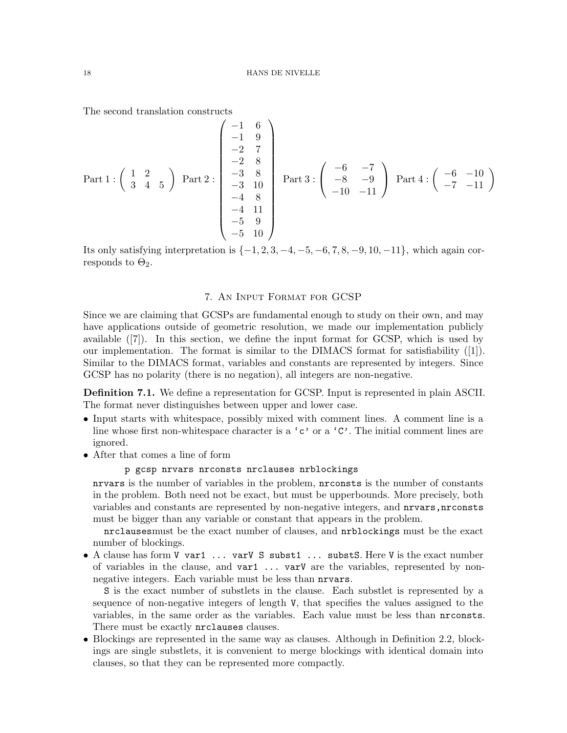The second translation constructs

Part 1 : 
$$
\begin{pmatrix} 1 & 2 \ 3 & 4 & 5 \end{pmatrix}
$$
 Part 2 :  $\begin{pmatrix} -1 & 6 \ -1 & 9 \ -2 & 7 \ -2 & 8 \ -3 & 8 \ -3 & 10 \ -4 & 8 \ -4 & 11 \ -5 & 9 \ -5 & 10 \end{pmatrix}$  Part 3 :  $\begin{pmatrix} -6 & -7 \ -8 & -9 \ -10 & -11 \end{pmatrix}$  Part 4 :  $\begin{pmatrix} -6 & -10 \ -7 & -11 \end{pmatrix}$ 

Its only satisfying interpretation is  $\{-1, 2, 3, -4, -5, -6, 7, 8, -9, 10, -11\}$ , which again corresponds to  $\Theta_2$ .

# 7. An Input Format for GCSP

Since we are claiming that GCSPs are fundamental enough to study on their own, and may have applications outside of geometric resolution, we made our implementation publicly available ([7]). In this section, we define the input format for GCSP, which is used by our implementation. The format is similar to the DIMACS format for satisfiability ([1]). Similar to the DIMACS format, variables and constants are represented by integers. Since GCSP has no polarity (there is no negation), all integers are non-negative.

Definition 7.1. We define a representation for GCSP. Input is represented in plain ASCII. The format never distinguishes between upper and lower case.

- Input starts with whitespace, possibly mixed with comment lines. A comment line is a line whose first non-whitespace character is a 'c' or a 'C'. The initial comment lines are ignored.
- After that comes a line of form

# p gcsp nrvars nrconsts nrclauses nrblockings

nrvars is the number of variables in the problem, nrconsts is the number of constants in the problem. Both need not be exact, but must be upperbounds. More precisely, both variables and constants are represented by non-negative integers, and nrvars, pronsts must be bigger than any variable or constant that appears in the problem.

nrclausesmust be the exact number of clauses, and nrblockings must be the exact number of blockings.

• A clause has form  $V$  var1 ... varV S subst1 ... substS. Here V is the exact number of variables in the clause, and var1 ... varV are the variables, represented by nonnegative integers. Each variable must be less than nrvars.

S is the exact number of substlets in the clause. Each substlet is represented by a sequence of non-negative integers of length V, that specifies the values assigned to the variables, in the same order as the variables. Each value must be less than nrconsts. There must be exactly nrclauses clauses.

• Blockings are represented in the same way as clauses. Although in Definition 2.2, blockings are single substlets, it is convenient to merge blockings with identical domain into clauses, so that they can be represented more compactly.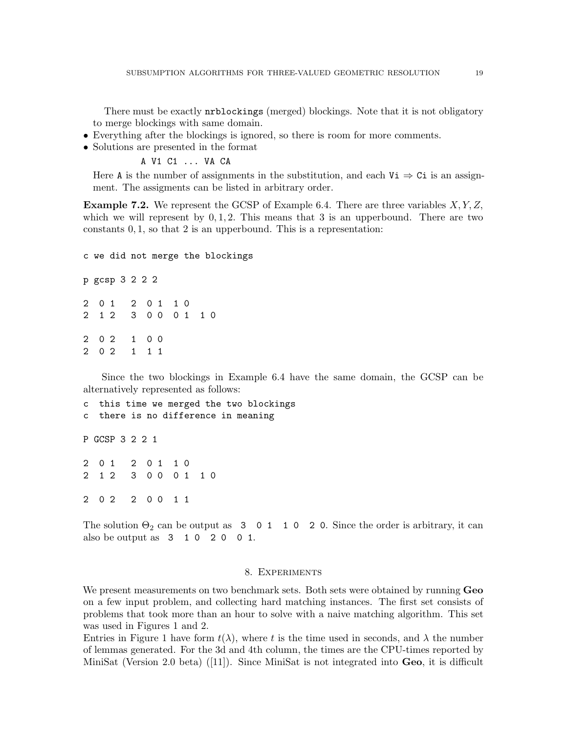There must be exactly nrblockings (merged) blockings. Note that it is not obligatory to merge blockings with same domain.

- Everything after the blockings is ignored, so there is room for more comments.
- Solutions are presented in the format

A V1 C1 ... VA CA

Here A is the number of assignments in the substitution, and each  $V_i \Rightarrow C_i$  is an assignment. The assigments can be listed in arbitrary order.

**Example 7.2.** We represent the GCSP of Example 6.4. There are three variables  $X, Y, Z$ , which we will represent by  $0, 1, 2$ . This means that 3 is an upperbound. There are two constants 0, 1, so that 2 is an upperbound. This is a representation:

c we did not merge the blockings p gcsp 3 2 2 2 2 0 1 2 0 1 1 0 2 1 2 3 0 0 0 1 1 0 2 0 2 1 0 0 2 0 2 1 1 1

Since the two blockings in Example 6.4 have the same domain, the GCSP can be alternatively represented as follows:

```
c this time we merged the two blockings
c there is no difference in meaning
P GCSP 3 2 2 1
2 0 1 2 0 1 1 0
2 1 2 3 0 0 0 1 1 0
2 0 2 2 0 0 1 1
```
The solution  $\Theta_2$  can be output as 3 0 1 1 0 2 0. Since the order is arbitrary, it can also be output as 3 1 0 2 0 0 1.

# 8. Experiments

We present measurements on two benchmark sets. Both sets were obtained by running **Geo** on a few input problem, and collecting hard matching instances. The first set consists of problems that took more than an hour to solve with a naive matching algorithm. This set was used in Figures 1 and 2.

Entries in Figure 1 have form  $t(\lambda)$ , where t is the time used in seconds, and  $\lambda$  the number of lemmas generated. For the 3d and 4th column, the times are the CPU-times reported by MiniSat (Version 2.0 beta) ([11]). Since MiniSat is not integrated into Geo, it is difficult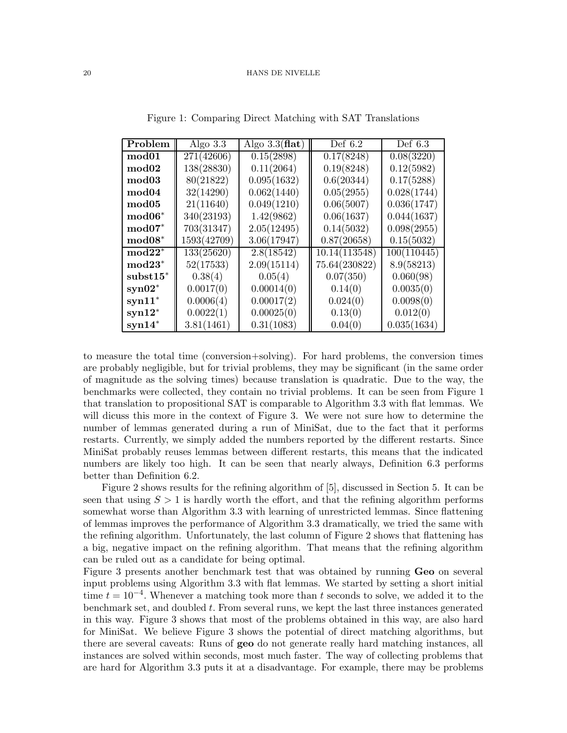| Problem           | Algo $3.3$  | Algo $3.3$ (flat) | Def $6.2$     | Def $6.3$   |
|-------------------|-------------|-------------------|---------------|-------------|
| mod <sub>01</sub> | 271(42606)  | 0.15(2898)        | 0.17(8248)    | 0.08(3220)  |
| $\bmod 02$        | 138(28830)  | 0.11(2064)        | 0.19(8248)    | 0.12(5982)  |
| mod <sub>03</sub> | 80(21822)   | 0.095(1632)       | 0.6(20344)    | 0.17(5288)  |
| mod <sub>04</sub> | 32(14290)   | 0.062(1440)       | 0.05(2955)    | 0.028(1744) |
| mod <sub>05</sub> | 21(11640)   | 0.049(1210)       | 0.06(5007)    | 0.036(1747) |
| $\bold{mod}06^*$  | 340(23193)  | 1.42(9862)        | 0.06(1637)    | 0.044(1637) |
| $mod07*$          | 703(31347)  | 2.05(12495)       | 0.14(5032)    | 0.098(2955) |
| $\bold{mod}08^*$  | 1593(42709) | 3.06(17947)       | 0.87(20658)   | 0.15(5032)  |
| $\text{mod}22^*$  | 133(25620)  | 2.8(18542)        | 10.14(113548) | 100(110445) |
| $\text{mod}23^*$  | 52(17533)   | 2.09(15114)       | 75.64(230822) | 8.9(58213)  |
| $subst15*$        | 0.38(4)     | 0.05(4)           | 0.07(350)     | 0.060(98)   |
| $syn02*$          | 0.0017(0)   | 0.00014(0)        | 0.14(0)       | 0.0035(0)   |
| $syn11*$          | 0.0006(4)   | 0.00017(2)        | 0.024(0)      | 0.0098(0)   |
| $syn12*$          | 0.0022(1)   | 0.00025(0)        | 0.13(0)       | 0.012(0)    |
| $syn14*$          | 3.81(1461)  | 0.31(1083)        | 0.04(0)       | 0.035(1634) |

Figure 1: Comparing Direct Matching with SAT Translations

to measure the total time (conversion+solving). For hard problems, the conversion times are probably negligible, but for trivial problems, they may be significant (in the same order of magnitude as the solving times) because translation is quadratic. Due to the way, the benchmarks were collected, they contain no trivial problems. It can be seen from Figure 1 that translation to propositional SAT is comparable to Algorithm 3.3 with flat lemmas. We will dicuss this more in the context of Figure 3. We were not sure how to determine the number of lemmas generated during a run of MiniSat, due to the fact that it performs restarts. Currently, we simply added the numbers reported by the different restarts. Since MiniSat probably reuses lemmas between different restarts, this means that the indicated numbers are likely too high. It can be seen that nearly always, Definition 6.3 performs better than Definition 6.2.

Figure 2 shows results for the refining algorithm of [5], discussed in Section 5. It can be seen that using  $S > 1$  is hardly worth the effort, and that the refining algorithm performs somewhat worse than Algorithm 3.3 with learning of unrestricted lemmas. Since flattening of lemmas improves the performance of Algorithm 3.3 dramatically, we tried the same with the refining algorithm. Unfortunately, the last column of Figure 2 shows that flattening has a big, negative impact on the refining algorithm. That means that the refining algorithm can be ruled out as a candidate for being optimal.

Figure 3 presents another benchmark test that was obtained by running Geo on several input problems using Algorithm 3.3 with flat lemmas. We started by setting a short initial time  $t = 10^{-4}$ . Whenever a matching took more than t seconds to solve, we added it to the benchmark set, and doubled t. From several runs, we kept the last three instances generated in this way. Figure 3 shows that most of the problems obtained in this way, are also hard for MiniSat. We believe Figure 3 shows the potential of direct matching algorithms, but there are several caveats: Runs of geo do not generate really hard matching instances, all instances are solved within seconds, most much faster. The way of collecting problems that are hard for Algorithm 3.3 puts it at a disadvantage. For example, there may be problems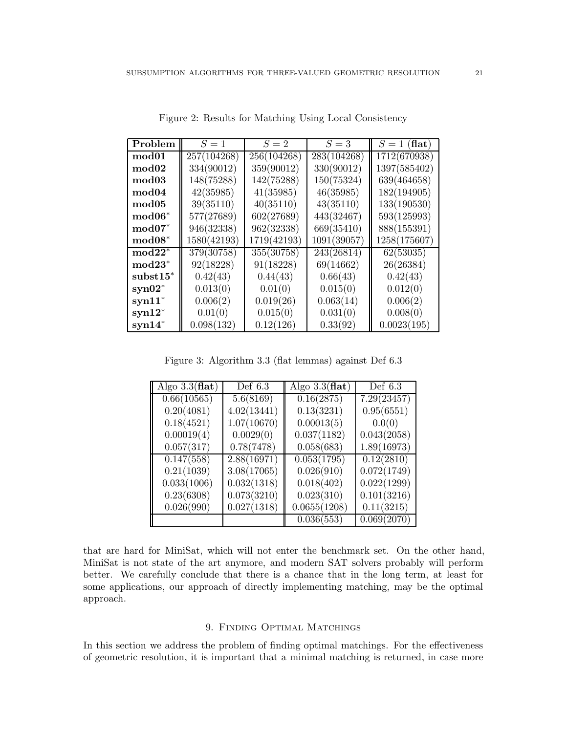| Problem           | $S=1$       | $S=2$       | $S=3$       | $S=1$ (flat) |
|-------------------|-------------|-------------|-------------|--------------|
| mod <sub>01</sub> | 257(104268) | 256(104268) | 283(104268) | 1712(670938) |
| mod02             | 334(90012)  | 359(90012)  | 330(90012)  | 1397(585402) |
| mod <sub>03</sub> | 148(75288)  | 142(75288)  | 150(75324)  | 639(464658)  |
| $\bmod 04$        | 42(35985)   | 41(35985)   | 46(35985)   | 182(194905)  |
| mod <sub>05</sub> | 39(35110)   | 40(35110)   | 43(35110)   | 133(190530)  |
| $\bold{mod}06^*$  | 577(27689)  | 602(27689)  | 443(32467)  | 593(125993)  |
| $\text{mod}07^*$  | 946(32338)  | 962(32338)  | 669(35410)  | 888(155391)  |
| $\bold{mod}08^*$  | 1580(42193) | 1719(42193) | 1091(39057) | 1258(175607) |
| $mod22^*$         | 379(30758)  | 355(30758)  | 243(26814)  | 62(53035)    |
| $mod23*$          | 92(18228)   | 91(18228)   | 69(14662)   | 26(26384)    |
| $subst15*$        | 0.42(43)    | 0.44(43)    | 0.66(43)    | 0.42(43)     |
| $syn02*$          | 0.013(0)    | 0.01(0)     | 0.015(0)    | 0.012(0)     |
| $syn11*$          | 0.006(2)    | 0.019(26)   | 0.063(14)   | 0.006(2)     |
| $syn12*$          | 0.01(0)     | 0.015(0)    | 0.031(0)    | 0.008(0)     |
| $syn14*$          | 0.098(132)  | 0.12(126)   | 0.33(92)    | 0.0023(195)  |

Figure 2: Results for Matching Using Local Consistency

Figure 3: Algorithm 3.3 (flat lemmas) against Def 6.3

| Algo $3.3$ (flat) | Def $6.3$   | Algo $3.3$ (flat) | Def 6.3     |
|-------------------|-------------|-------------------|-------------|
| 0.66(10565)       | 5.6(8169)   | 0.16(2875)        | 7.29(23457) |
| 0.20(4081)        | 4.02(13441) | 0.13(3231)        | 0.95(6551)  |
| 0.18(4521)        | 1.07(10670) | 0.00013(5)        | 0.0(0)      |
| 0.00019(4)        | 0.0029(0)   | 0.037(1182)       | 0.043(2058) |
| 0.057(317)        | 0.78(7478)  | 0.058(683)        | 1.89(16973) |
| 0.147(558)        | 2.88(16971) | 0.053(1795)       | 0.12(2810)  |
| 0.21(1039)        | 3.08(17065) | 0.026(910)        | 0.072(1749) |
| 0.033(1006)       | 0.032(1318) | 0.018(402)        | 0.022(1299) |
| 0.23(6308)        | 0.073(3210) | 0.023(310)        | 0.101(3216) |
| 0.026(990)        | 0.027(1318) | 0.0655(1208)      | 0.11(3215)  |
|                   |             | 0.036(553)        | 0.069(2070) |

that are hard for MiniSat, which will not enter the benchmark set. On the other hand, MiniSat is not state of the art anymore, and modern SAT solvers probably will perform better. We carefully conclude that there is a chance that in the long term, at least for some applications, our approach of directly implementing matching, may be the optimal approach.

# 9. Finding Optimal Matchings

In this section we address the problem of finding optimal matchings. For the effectiveness of geometric resolution, it is important that a minimal matching is returned, in case more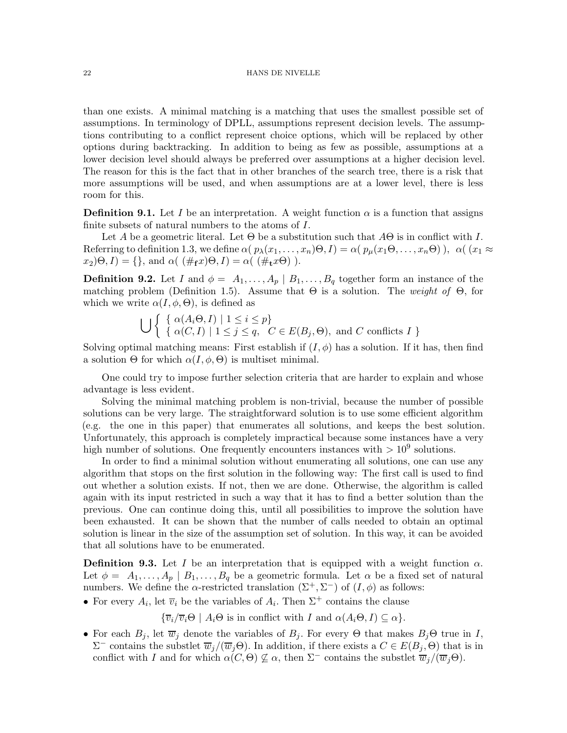than one exists. A minimal matching is a matching that uses the smallest possible set of assumptions. In terminology of DPLL, assumptions represent decision levels. The assumptions contributing to a conflict represent choice options, which will be replaced by other options during backtracking. In addition to being as few as possible, assumptions at a lower decision level should always be preferred over assumptions at a higher decision level. The reason for this is the fact that in other branches of the search tree, there is a risk that more assumptions will be used, and when assumptions are at a lower level, there is less room for this.

**Definition 9.1.** Let I be an interpretation. A weight function  $\alpha$  is a function that assigns finite subsets of natural numbers to the atoms of I.

Let A be a geometric literal. Let  $\Theta$  be a substitution such that  $A\Theta$  is in conflict with I. Referring to definition 1.3, we define  $\alpha(p_{\lambda}(x_1,\ldots,x_n)\Theta,I) = \alpha(p_{\mu}(x_1\Theta,\ldots,x_n\Theta)), \alpha((x_1 \approx$  $x_2(\Theta, I) = \{\}, \text{ and } \alpha(\ (\#_{f} x)\Theta, I) = \alpha(\ (\#_{f} x\Theta)).$ 

**Definition 9.2.** Let I and  $\phi = A_1, \ldots, A_p \mid B_1, \ldots, B_q$  together form an instance of the matching problem (Definition 1.5). Assume that  $\Theta$  is a solution. The weight of  $\Theta$ , for which we write  $\alpha(I, \phi, \Theta)$ , is defined as

$$
\bigcup \left\{ \begin{array}{l} \{ \alpha(A_i \Theta, I) \mid 1 \le i \le p \} \\ \{ \alpha(C, I) \mid 1 \le j \le q, \ C \in E(B_j, \Theta), \text{ and } C \text{ conflicts } I \} \end{array} \right\}
$$

Solving optimal matching means: First establish if  $(I, \phi)$  has a solution. If it has, then find a solution  $\Theta$  for which  $\alpha(I, \phi, \Theta)$  is multiset minimal.

One could try to impose further selection criteria that are harder to explain and whose advantage is less evident.

Solving the minimal matching problem is non-trivial, because the number of possible solutions can be very large. The straightforward solution is to use some efficient algorithm (e.g. the one in this paper) that enumerates all solutions, and keeps the best solution. Unfortunately, this approach is completely impractical because some instances have a very high number of solutions. One frequently encounters instances with  $>10^9$  solutions.

In order to find a minimal solution without enumerating all solutions, one can use any algorithm that stops on the first solution in the following way: The first call is used to find out whether a solution exists. If not, then we are done. Otherwise, the algorithm is called again with its input restricted in such a way that it has to find a better solution than the previous. One can continue doing this, until all possibilities to improve the solution have been exhausted. It can be shown that the number of calls needed to obtain an optimal solution is linear in the size of the assumption set of solution. In this way, it can be avoided that all solutions have to be enumerated.

**Definition 9.3.** Let I be an interpretation that is equipped with a weight function  $\alpha$ . Let  $\phi = A_1, \ldots, A_p \mid B_1, \ldots, B_q$  be a geometric formula. Let  $\alpha$  be a fixed set of natural numbers. We define the  $\alpha$ -restricted translation  $(\Sigma^+, \Sigma^-)$  of  $(I, \phi)$  as follows:

• For every  $A_i$ , let  $\overline{v}_i$  be the variables of  $A_i$ . Then  $\Sigma^+$  contains the clause

 ${\overline{\{v_i/\overline{v}_i\Theta \mid A_i\Theta \text{ is in conflict with } I \text{ and } \alpha(A_i\Theta,I) \subseteq \alpha\}}.$ 

• For each  $B_j$ , let  $\overline{w}_j$  denote the variables of  $B_j$ . For every  $\Theta$  that makes  $B_j\Theta$  true in I,  $\Sigma^-$  contains the substlet  $\overline{w}_j/(\overline{w}_j\Theta)$ . In addition, if there exists a  $C \in E(B_j, \Theta)$  that is in conflict with I and for which  $\alpha(C, \Theta) \nsubseteq \alpha$ , then  $\Sigma^-$  contains the substlet  $\overline{w}_i/(\overline{w}_i\Theta)$ .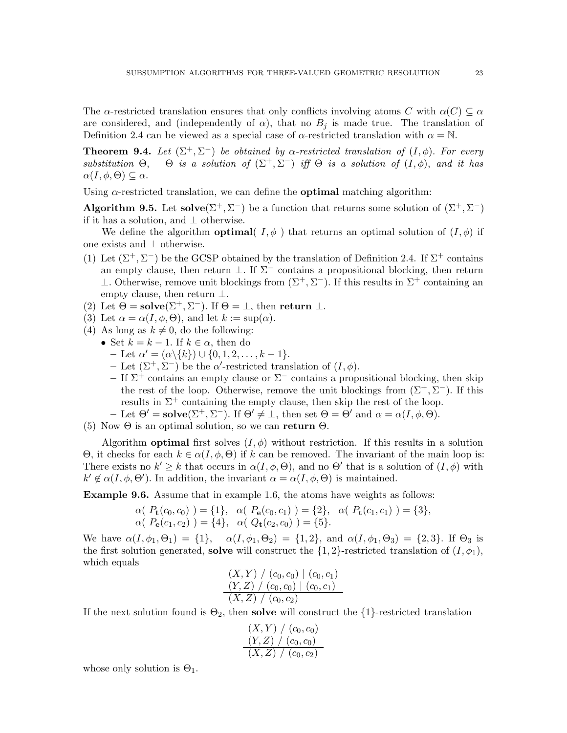The  $\alpha$ -restricted translation ensures that only conflicts involving atoms C with  $\alpha(C) \subseteq \alpha$ are considered, and (independently of  $\alpha$ ), that no  $B_i$  is made true. The translation of Definition 2.4 can be viewed as a special case of  $\alpha$ -restricted translation with  $\alpha = \mathbb{N}$ .

**Theorem 9.4.** Let  $(\Sigma^+, \Sigma^-)$  be obtained by  $\alpha$ -restricted translation of  $(I, \phi)$ . For every substitution  $\Theta$ ,  $\Theta$  is a solution of  $(\Sigma^+, \Sigma^-)$  iff  $\Theta$  is a solution of  $(I, \phi)$ , and it has  $\alpha(I, \phi, \Theta) \subseteq \alpha$ .

Using  $\alpha$ -restricted translation, we can define the **optimal** matching algorithm:

Algorithm 9.5. Let solve $(\Sigma^+, \Sigma^-)$  be a function that returns some solution of  $(\Sigma^+, \Sigma^-)$ if it has a solution, and ⊥ otherwise.

We define the algorithm **optimal**( $I, \phi$ ) that returns an optimal solution of  $(I, \phi)$  if one exists and ⊥ otherwise.

- (1) Let  $(\Sigma^+, \Sigma^-)$  be the GCSP obtained by the translation of Definition 2.4. If  $\Sigma^+$  contains an empty clause, then return  $\perp$ . If  $\Sigma^-$  contains a propositional blocking, then return  $\perp$ . Otherwise, remove unit blockings from  $(Σ<sup>+</sup>, Σ<sup>-</sup>)$ . If this results in  $Σ<sup>+</sup>$  containing an empty clause, then return  $\perp$ .
- (2) Let  $\Theta = \mathbf{solve}(\Sigma^+, \Sigma^-)$ . If  $\Theta = \bot$ , then return  $\bot$ .
- (3) Let  $\alpha = \alpha(I, \phi, \Theta)$ , and let  $k := \sup(\alpha)$ .
- (4) As long as  $k \neq 0$ , do the following:
	- Set  $k = k 1$ . If  $k \in \alpha$ , then do
		- $-$  Let  $\alpha' = (\alpha \setminus \{k\}) \cup \{0, 1, 2, \ldots, k 1\}.$
		- Let  $(\Sigma^+, \Sigma^-)$  be the  $\alpha'$ -restricted translation of  $(I, \phi)$ .
		- If  $\Sigma^+$  contains an empty clause or  $\Sigma^-$  contains a propositional blocking, then skip the rest of the loop. Otherwise, remove the unit blockings from  $(\Sigma^+, \Sigma^-)$ . If this results in  $\Sigma^+$  containing the empty clause, then skip the rest of the loop.
	- Let  $\Theta' = \mathbf{solve}(\Sigma^+, \Sigma^-)$ . If  $\Theta' \neq \bot$ , then set  $\Theta = \Theta'$  and  $\alpha = \alpha(I, \phi, \Theta)$ .

(5) Now  $\Theta$  is an optimal solution, so we can return  $\Theta$ .

Algorithm **optimal** first solves  $(I, \phi)$  without restriction. If this results in a solution  $Θ$ , it checks for each  $k ∈ α(I, φ, Θ)$  if k can be removed. The invariant of the main loop is: There exists no  $k' \geq k$  that occurs in  $\alpha(I, \phi, \Theta)$ , and no  $\Theta'$  that is a solution of  $(I, \phi)$  with  $k' \notin \alpha(I, \phi, \Theta')$ . In addition, the invariant  $\alpha = \alpha(I, \phi, \Theta)$  is maintained.

Example 9.6. Assume that in example 1.6, the atoms have weights as follows:

$$
\alpha(P_{\mathbf{t}}(c_0, c_0)) = \{1\}, \alpha(P_{\mathbf{e}}(c_0, c_1)) = \{2\}, \alpha(P_{\mathbf{t}}(c_1, c_1)) = \{3\},\newline \alpha(P_{\mathbf{e}}(c_1, c_2)) = \{4\}, \alpha(Q_{\mathbf{t}}(c_2, c_0)) = \{5\}.
$$

We have  $\alpha(I, \phi_1, \Theta_1) = \{1\}, \alpha(I, \phi_1, \Theta_2) = \{1, 2\}, \text{ and } \alpha(I, \phi_1, \Theta_3) = \{2, 3\}.$  If  $\Theta_3$  is the first solution generated, **solve** will construct the  $\{1,2\}$ -restricted translation of  $(I, \phi_1)$ , which equals

$$
\frac{(X,Y) / (c_0, c_0) | (c_0, c_1)}{(Y,Z) / (c_0, c_0) | (c_0, c_1)}
$$
  
(X,Z) / (c\_0, c\_2)

If the next solution found is  $\Theta_2$ , then **solve** will construct the  $\{1\}$ -restricted translation

$$
\frac{(X,Y) / (c_0, c_0)}{(Y,Z) / (c_0, c_0)}
$$
  
(X,Z) / (c\_0, c\_2)

whose only solution is  $\Theta_1$ .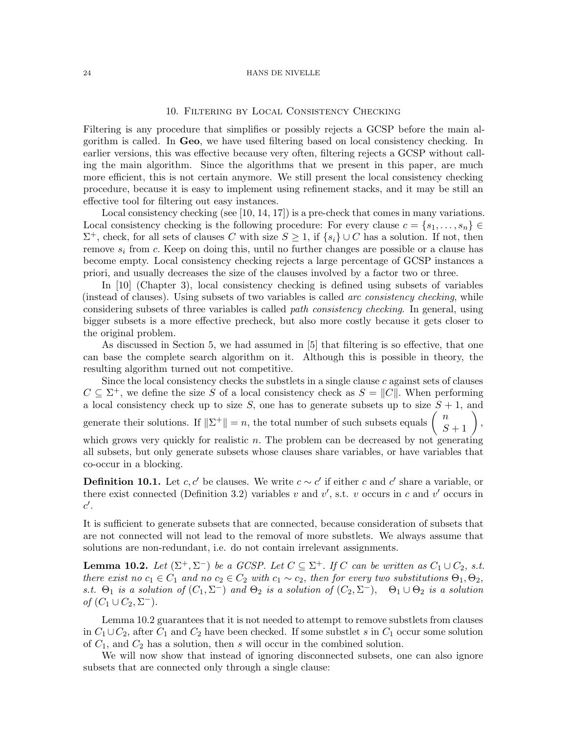# 10. Filtering by Local Consistency Checking

Filtering is any procedure that simplifies or possibly rejects a GCSP before the main algorithm is called. In Geo, we have used filtering based on local consistency checking. In earlier versions, this was effective because very often, filtering rejects a GCSP without calling the main algorithm. Since the algorithms that we present in this paper, are much more efficient, this is not certain anymore. We still present the local consistency checking procedure, because it is easy to implement using refinement stacks, and it may be still an effective tool for filtering out easy instances.

Local consistency checking (see [10, 14, 17]) is a pre-check that comes in many variations. Local consistency checking is the following procedure: For every clause  $c = \{s_1, \ldots, s_n\} \in$  $\Sigma^+$ , check, for all sets of clauses C with size  $S \geq 1$ , if  $\{s_i\} \cup C$  has a solution. If not, then remove  $s_i$  from c. Keep on doing this, until no further changes are possible or a clause has become empty. Local consistency checking rejects a large percentage of GCSP instances a priori, and usually decreases the size of the clauses involved by a factor two or three.

In [10] (Chapter 3), local consistency checking is defined using subsets of variables (instead of clauses). Using subsets of two variables is called arc consistency checking, while considering subsets of three variables is called path consistency checking. In general, using bigger subsets is a more effective precheck, but also more costly because it gets closer to the original problem.

As discussed in Section 5, we had assumed in [5] that filtering is so effective, that one can base the complete search algorithm on it. Although this is possible in theory, the resulting algorithm turned out not competitive.

Since the local consistency checks the substlets in a single clause  $c$  against sets of clauses  $C \subseteq \Sigma^+$ , we define the size S of a local consistency check as  $S = ||C||$ . When performing a local consistency check up to size  $S$ , one has to generate subsets up to size  $S + 1$ , and generate their solutions. If  $\|\Sigma^+\| = n$ , the total number of such subsets equals  $\begin{pmatrix} n \\ S+1 \end{pmatrix}$ , which grows very quickly for realistic  $n$ . The problem can be decreased by not generating all subsets, but only generate subsets whose clauses share variables, or have variables that co-occur in a blocking.

**Definition 10.1.** Let  $c, c'$  be clauses. We write  $c \sim c'$  if either c and c' share a variable, or there exist connected (Definition 3.2) variables v and v', s.t. v occurs in c and v' occurs in  $c'.$ 

It is sufficient to generate subsets that are connected, because consideration of subsets that are not connected will not lead to the removal of more substlets. We always assume that solutions are non-redundant, i.e. do not contain irrelevant assignments.

**Lemma 10.2.** Let  $(\Sigma^+, \Sigma^-)$  be a GCSP. Let  $C \subseteq \Sigma^+$ . If C can be written as  $C_1 \cup C_2$ , s.t. there exist no  $c_1 \in \hat{C}_1$  and no  $c_2 \in C_2$  with  $c_1 \sim c_2$ , then for every two substitutions  $\Theta_1, \Theta_2$ , s.t.  $\Theta_1$  is a solution of  $(C_1, \Sigma^-)$  and  $\Theta_2$  is a solution of  $(C_2, \Sigma^-)$ ,  $\Theta_1 \cup \Theta_2$  is a solution of  $(C_1 \cup C_2, \Sigma^-)$ .

Lemma 10.2 guarantees that it is not needed to attempt to remove substlets from clauses in  $C_1 \cup C_2$ , after  $C_1$  and  $C_2$  have been checked. If some substlet s in  $C_1$  occur some solution of  $C_1$ , and  $C_2$  has a solution, then s will occur in the combined solution.

We will now show that instead of ignoring disconnected subsets, one can also ignore subsets that are connected only through a single clause: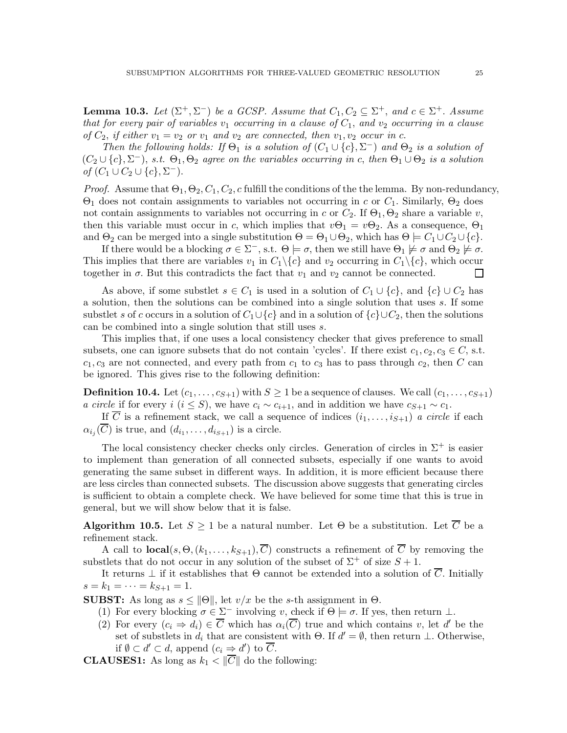**Lemma 10.3.** Let  $(\Sigma^+, \Sigma^-)$  be a GCSP. Assume that  $C_1, C_2 \subseteq \Sigma^+$ , and  $c \in \Sigma^+$ . Assume that for every pair of variables  $v_1$  occurring in a clause of  $C_1$ , and  $v_2$  occurring in a clause of  $C_2$ , if either  $v_1 = v_2$  or  $v_1$  and  $v_2$  are connected, then  $v_1, v_2$  occur in c.

Then the following holds: If  $\Theta_1$  is a solution of  $(C_1 \cup \{c\}, \Sigma^-)$  and  $\Theta_2$  is a solution of  $(C_2 \cup \{c\}, \Sigma^-)$ , s.t.  $\Theta_1, \Theta_2$  agree on the variables occurring in c, then  $\Theta_1 \cup \Theta_2$  is a solution of  $(C_1 \cup C_2 \cup \{c\}, \Sigma^-)$ .

*Proof.* Assume that  $\Theta_1, \Theta_2, C_1, C_2, c$  fulfill the conditions of the the lemma. By non-redundancy,  $Θ$ <sub>1</sub> does not contain assignments to variables not occurring in c or  $C_1$ . Similarly,  $Θ$ <sub>2</sub> does not contain assignments to variables not occurring in c or  $C_2$ . If  $\Theta_1$ ,  $\Theta_2$  share a variable v, then this variable must occur in c, which implies that  $v\Theta_1 = v\Theta_2$ . As a consequence,  $\Theta_1$ and  $\Theta_2$  can be merged into a single substitution  $\Theta = \Theta_1 \cup \Theta_2$ , which has  $\Theta = C_1 \cup C_2 \cup \{c\}$ .

If there would be a blocking  $\sigma \in \Sigma^-,$  s.t.  $\Theta \models \sigma$ , then we still have  $\Theta_1 \not\models \sigma$  and  $\Theta_2 \not\models \sigma$ . This implies that there are variables  $v_1$  in  $C_1 \setminus \{c\}$  and  $v_2$  occurring in  $C_1 \setminus \{c\}$ , which occur together in  $\sigma$ . But this contradicts the fact that  $v_1$  and  $v_2$  cannot be connected.  $\Box$ 

As above, if some substlet  $s \in C_1$  is used in a solution of  $C_1 \cup \{c\}$ , and  $\{c\} \cup C_2$  has a solution, then the solutions can be combined into a single solution that uses s. If some substlet s of c occurs in a solution of  $C_1 \cup \{c\}$  and in a solution of  $\{c\} \cup C_2$ , then the solutions can be combined into a single solution that still uses s.

This implies that, if one uses a local consistency checker that gives preference to small subsets, one can ignore subsets that do not contain 'cycles'. If there exist  $c_1, c_2, c_3 \in C$ , s.t.  $c_1, c_3$  are not connected, and every path from  $c_1$  to  $c_3$  has to pass through  $c_2$ , then C can be ignored. This gives rise to the following definition:

**Definition 10.4.** Let  $(c_1, \ldots, c_{S+1})$  with  $S \geq 1$  be a sequence of clauses. We call  $(c_1, \ldots, c_{S+1})$ a circle if for every i  $(i \leq S)$ , we have  $c_i \sim c_{i+1}$ , and in addition we have  $c_{S+1} \sim c_1$ .

If  $\overline{C}$  is a refinement stack, we call a sequence of indices  $(i_1, \ldots, i_{S+1})$  a circle if each  $\alpha_{i_j}(C)$  is true, and  $(d_{i_1}, \ldots, d_{i_{S+1}})$  is a circle.

The local consistency checker checks only circles. Generation of circles in  $\Sigma^+$  is easier to implement than generation of all connected subsets, especially if one wants to avoid generating the same subset in different ways. In addition, it is more efficient because there are less circles than connected subsets. The discussion above suggests that generating circles is sufficient to obtain a complete check. We have believed for some time that this is true in general, but we will show below that it is false.

**Algorithm 10.5.** Let  $S \geq 1$  be a natural number. Let  $\Theta$  be a substitution. Let  $\overline{C}$  be a refinement stack.

A call to **local** $(s, \Theta, (k_1, \ldots, k_{S+1}), \overline{C})$  constructs a refinement of  $\overline{C}$  by removing the substlets that do not occur in any solution of the subset of  $\Sigma^+$  of size  $S+1$ .

It returns  $\perp$  if it establishes that  $\Theta$  cannot be extended into a solution of C. Initially  $s = k_1 = \cdots = k_{S+1} = 1.$ 

**SUBST:** As long as  $s \le ||\Theta||$ , let  $v/x$  be the s-th assignment in  $\Theta$ .

- (1) For every blocking  $\sigma \in \Sigma^-$  involving v, check if  $\Theta \models \sigma$ . If yes, then return  $\bot$ .
- (2) For every  $(c_i \Rightarrow d_i) \in \overline{C}$  which has  $\alpha_i(\overline{C})$  true and which contains v, let d' be the set of substlets in  $d_i$  that are consistent with  $\Theta$ . If  $d' = \emptyset$ , then return  $\bot$ . Otherwise, if  $\emptyset \subset d' \subset d$ , append  $(c_i \Rightarrow d')$  to  $\overline{C}$ .

**CLAUSES1:** As long as  $k_1 < \|\overline{C}\|$  do the following: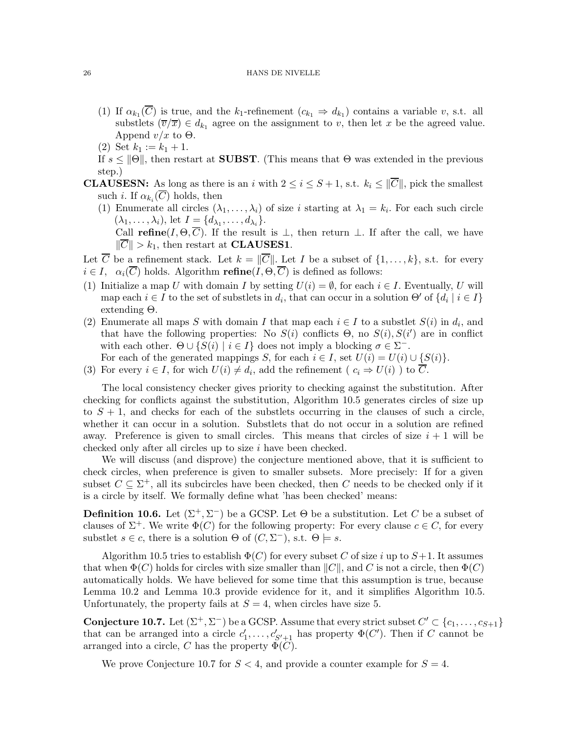- (1) If  $\alpha_{k_1}(C)$  is true, and the  $k_1$ -refinement  $(c_{k_1} \Rightarrow d_{k_1})$  contains a variable v, s.t. all substlets  $(\overline{v}/\overline{x}) \in d_{k_1}$  agree on the assignment to v, then let x be the agreed value. Append  $v/x$  to  $\Theta$ .
- (2) Set  $k_1 := k_1 + 1$ .
- If  $s \leq ||\Theta||$ , then restart at **SUBST**. (This means that  $\Theta$  was extended in the previous step.)
- **CLAUSESN:** As long as there is an i with  $2 \le i \le S+1$ , s.t.  $k_i \le ||\overline{C}||$ , pick the smallest such *i*. If  $\alpha_{k_i}(C)$  holds, then
	- (1) Enumerate all circles  $(\lambda_1, \ldots, \lambda_i)$  of size i starting at  $\lambda_1 = k_i$ . For each such circle  $(\lambda_1, \ldots, \lambda_i)$ , let  $I = \{d_{\lambda_1}, \ldots, d_{\lambda_i}\}.$

Call refine( $I, \Theta, \overline{C}$ ). If the result is  $\bot$ , then return  $\bot$ . If after the call, we have  $\|\overline{C}\| > k_1$ , then restart at **CLAUSES1**.

- Let  $\overline{C}$  be a refinement stack. Let  $k = ||\overline{C}||$ . Let I be a subset of  $\{1, \ldots, k\}$ , s.t. for every  $i \in I$ ,  $\alpha_i(\overline{C})$  holds. Algorithm **refine** $(I, \Theta, \overline{C})$  is defined as follows:
- (1) Initialize a map U with domain I by setting  $U(i) = \emptyset$ , for each  $i \in I$ . Eventually, U will map each  $i \in I$  to the set of substlets in  $d_i$ , that can occur in a solution  $\Theta'$  of  $\{d_i \mid i \in I\}$ extending Θ.
- (2) Enumerate all maps S with domain I that map each  $i \in I$  to a substlet  $S(i)$  in  $d_i$ , and that have the following properties: No  $S(i)$  conflicts  $\Theta$ , no  $S(i)$ ,  $S(i')$  are in conflict with each other.  $\Theta \cup \{S(i) \mid i \in I\}$  does not imply a blocking  $\sigma \in \Sigma^-$ . For each of the generated mappings S, for each  $i \in I$ , set  $U(i) = U(i) \cup \{S(i)\}.$
- (3) For every  $i \in I$ , for wich  $U(i) \neq d_i$ , add the refinement ( $c_i \Rightarrow U(i)$ ) to C.

The local consistency checker gives priority to checking against the substitution. After checking for conflicts against the substitution, Algorithm 10.5 generates circles of size up to  $S + 1$ , and checks for each of the substlets occurring in the clauses of such a circle. whether it can occur in a solution. Substlets that do not occur in a solution are refined away. Preference is given to small circles. This means that circles of size  $i + 1$  will be checked only after all circles up to size i have been checked.

We will discuss (and disprove) the conjecture mentioned above, that it is sufficient to check circles, when preference is given to smaller subsets. More precisely: If for a given subset  $C \subseteq \Sigma^+$ , all its subcircles have been checked, then C needs to be checked only if it is a circle by itself. We formally define what 'has been checked' means:

**Definition 10.6.** Let  $(\Sigma^+, \Sigma^-)$  be a GCSP. Let  $\Theta$  be a substitution. Let C be a subset of clauses of  $\Sigma^+$ . We write  $\Phi(C)$  for the following property: For every clause  $c \in C$ , for every substlet  $s \in c$ , there is a solution  $\Theta$  of  $(C, \Sigma^-)$ , s.t.  $\Theta \models s$ .

Algorithm 10.5 tries to establish  $\Phi(C)$  for every subset C of size i up to  $S+1$ . It assumes that when  $\Phi(C)$  holds for circles with size smaller than  $||C||$ , and C is not a circle, then  $\Phi(C)$ automatically holds. We have believed for some time that this assumption is true, because Lemma 10.2 and Lemma 10.3 provide evidence for it, and it simplifies Algorithm 10.5. Unfortunately, the property fails at  $S = 4$ , when circles have size 5.

**Conjecture 10.7.** Let  $(\Sigma^+, \Sigma^-)$  be a GCSP. Assume that every strict subset  $C' \subset \{c_1, \ldots, c_{S+1}\}$ that can be arranged into a circle  $c'_1, \ldots, c'_{S'+1}$  has property  $\Phi(C')$ . Then if C cannot be arranged into a circle, C has the property  $\Phi(C)$ .

We prove Conjecture 10.7 for  $S < 4$ , and provide a counter example for  $S = 4$ .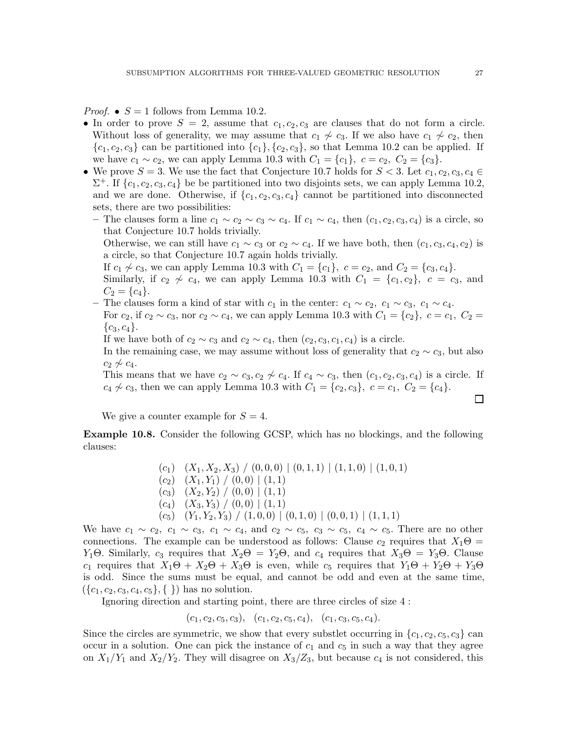*Proof.* •  $S = 1$  follows from Lemma 10.2.

- In order to prove  $S = 2$ , assume that  $c_1, c_2, c_3$  are clauses that do not form a circle. Without loss of generality, we may assume that  $c_1 \not\sim c_3$ . If we also have  $c_1 \not\sim c_2$ , then  ${c_1, c_2, c_3}$  can be partitioned into  ${c_1}, {c_2, c_3}$ , so that Lemma 10.2 can be applied. If we have  $c_1 \sim c_2$ , we can apply Lemma 10.3 with  $C_1 = \{c_1\}$ ,  $c = c_2$ ,  $C_2 = \{c_3\}$ .
- We prove  $S = 3$ . We use the fact that Conjecture 10.7 holds for  $S < 3$ . Let  $c_1, c_2, c_3, c_4 \in$  $\Sigma^+$ . If  $\{c_1, c_2, c_3, c_4\}$  be be partitioned into two disjoints sets, we can apply Lemma 10.2, and we are done. Otherwise, if  $\{c_1, c_2, c_3, c_4\}$  cannot be partitioned into disconnected sets, there are two possibilities:
	- The clauses form a line  $c_1 \sim c_2 \sim c_3 \sim c_4$ . If  $c_1 \sim c_4$ , then  $(c_1, c_2, c_3, c_4)$  is a circle, so that Conjecture 10.7 holds trivially.

Otherwise, we can still have  $c_1 \sim c_3$  or  $c_2 \sim c_4$ . If we have both, then  $(c_1, c_3, c_4, c_2)$  is a circle, so that Conjecture 10.7 again holds trivially.

If  $c_1 \nsim c_3$ , we can apply Lemma 10.3 with  $C_1 = \{c_1\}$ ,  $c = c_2$ , and  $C_2 = \{c_3, c_4\}$ .

Similarly, if  $c_2 \nsim c_4$ , we can apply Lemma 10.3 with  $C_1 = \{c_1, c_2\}$ ,  $c = c_3$ , and  $C_2 = \{c_4\}.$ 

– The clauses form a kind of star with  $c_1$  in the center:  $c_1 \sim c_2$ ,  $c_1 \sim c_3$ ,  $c_1 \sim c_4$ .

For  $c_2$ , if  $c_2 \sim c_3$ , nor  $c_2 \sim c_4$ , we can apply Lemma 10.3 with  $C_1 = \{c_2\}$ ,  $c = c_1$ ,  $C_2 = c_2$  ${c_3, c_4}.$ 

If we have both of  $c_2 \sim c_3$  and  $c_2 \sim c_4$ , then  $(c_2, c_3, c_1, c_4)$  is a circle.

In the remaining case, we may assume without loss of generality that  $c_2 \sim c_3$ , but also  $c_2 \not\sim c_4$ .

This means that we have  $c_2 \sim c_3, c_2 \not\sim c_4$ . If  $c_4 \sim c_3$ , then  $(c_1, c_2, c_3, c_4)$  is a circle. If  $c_4 \not\sim c_3$ , then we can apply Lemma 10.3 with  $C_1 = \{c_2, c_3\}, c = c_1, C_2 = \{c_4\}.$ 

We give a counter example for  $S = 4$ .

Example 10.8. Consider the following GCSP, which has no blockings, and the following clauses:

> $(c_1)$   $(X_1, X_2, X_3)$   $(0, 0, 0)$   $(0, 1, 1)$   $(1, 1, 0)$   $(1, 0, 1)$  $(c_2)$   $(X_1, Y_1)$  /  $(0, 0)$   $(1, 1)$  $(c_3)$   $(X_2, Y_2)$  /  $(0, 0)$  |  $(1, 1)$  $(c_4)$   $(X_3, Y_3) / (0, 0) | (1, 1)$  $(c_5)$   $(Y_1, Y_2, Y_3)$   $\big/ (1, 0, 0) \big| (0, 1, 0) \big| (0, 0, 1) \big| (1, 1, 1)$

We have  $c_1 \sim c_2$ ,  $c_1 \sim c_3$ ,  $c_1 \sim c_4$ , and  $c_2 \sim c_5$ ,  $c_3 \sim c_5$ ,  $c_4 \sim c_5$ . There are no other connections. The example can be understood as follows: Clause  $c_2$  requires that  $X_1\Theta =$ Y<sub>1</sub>Θ. Similarly,  $c_3$  requires that  $X_2\Theta = Y_2\Theta$ , and  $c_4$  requires that  $X_3\Theta = Y_3\Theta$ . Clause  $c_1$  requires that  $X_1\Theta + X_2\Theta + X_3\Theta$  is even, while  $c_5$  requires that  $Y_1\Theta + Y_2\Theta + Y_3\Theta$ is odd. Since the sums must be equal, and cannot be odd and even at the same time,  $({c_1, c_2, c_3, c_4, c_5}, \{\})$  has no solution.

Ignoring direction and starting point, there are three circles of size 4 :

 $(c_1, c_2, c_5, c_3), (c_1, c_2, c_5, c_4), (c_1, c_3, c_5, c_4).$ 

Since the circles are symmetric, we show that every substlet occurring in  $\{c_1, c_2, c_5, c_3\}$  can occur in a solution. One can pick the instance of  $c_1$  and  $c_5$  in such a way that they agree on  $X_1/Y_1$  and  $X_2/Y_2$ . They will disagree on  $X_3/Z_3$ , but because  $c_4$  is not considered, this

П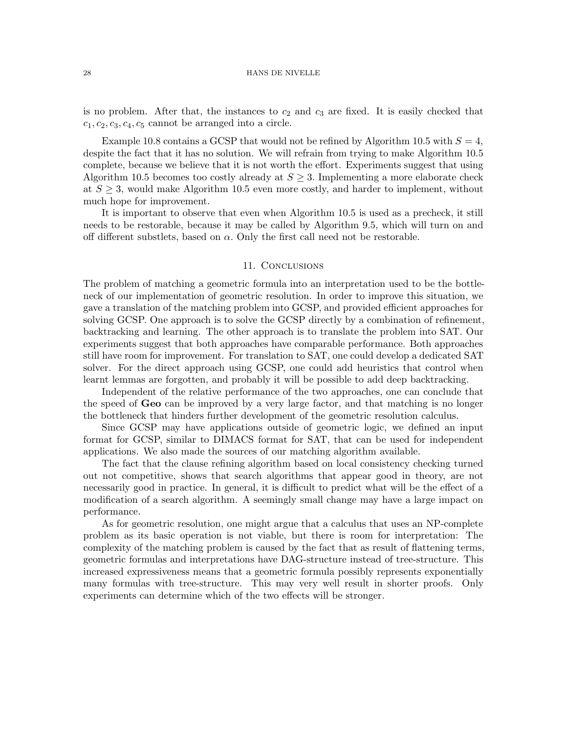is no problem. After that, the instances to  $c_2$  and  $c_3$  are fixed. It is easily checked that  $c_1, c_2, c_3, c_4, c_5$  cannot be arranged into a circle.

Example 10.8 contains a GCSP that would not be refined by Algorithm 10.5 with  $S = 4$ , despite the fact that it has no solution. We will refrain from trying to make Algorithm 10.5 complete, because we believe that it is not worth the effort. Experiments suggest that using Algorithm 10.5 becomes too costly already at  $S \geq 3$ . Implementing a more elaborate check at  $S \geq 3$ , would make Algorithm 10.5 even more costly, and harder to implement, without much hope for improvement.

It is important to observe that even when Algorithm 10.5 is used as a precheck, it still needs to be restorable, because it may be called by Algorithm 9.5, which will turn on and off different substlets, based on  $\alpha$ . Only the first call need not be restorable.

### 11. Conclusions

The problem of matching a geometric formula into an interpretation used to be the bottleneck of our implementation of geometric resolution. In order to improve this situation, we gave a translation of the matching problem into GCSP, and provided efficient approaches for solving GCSP. One approach is to solve the GCSP directly by a combination of refinement, backtracking and learning. The other approach is to translate the problem into SAT. Our experiments suggest that both approaches have comparable performance. Both approaches still have room for improvement. For translation to SAT, one could develop a dedicated SAT solver. For the direct approach using GCSP, one could add heuristics that control when learnt lemmas are forgotten, and probably it will be possible to add deep backtracking.

Independent of the relative performance of the two approaches, one can conclude that the speed of Geo can be improved by a very large factor, and that matching is no longer the bottleneck that hinders further development of the geometric resolution calculus.

Since GCSP may have applications outside of geometric logic, we defined an input format for GCSP, similar to DIMACS format for SAT, that can be used for independent applications. We also made the sources of our matching algorithm available.

The fact that the clause refining algorithm based on local consistency checking turned out not competitive, shows that search algorithms that appear good in theory, are not necessarily good in practice. In general, it is difficult to predict what will be the effect of a modification of a search algorithm. A seemingly small change may have a large impact on performance.

As for geometric resolution, one might argue that a calculus that uses an NP-complete problem as its basic operation is not viable, but there is room for interpretation: The complexity of the matching problem is caused by the fact that as result of flattening terms, geometric formulas and interpretations have DAG-structure instead of tree-structure. This increased expressiveness means that a geometric formula possibly represents exponentially many formulas with tree-structure. This may very well result in shorter proofs. Only experiments can determine which of the two effects will be stronger.